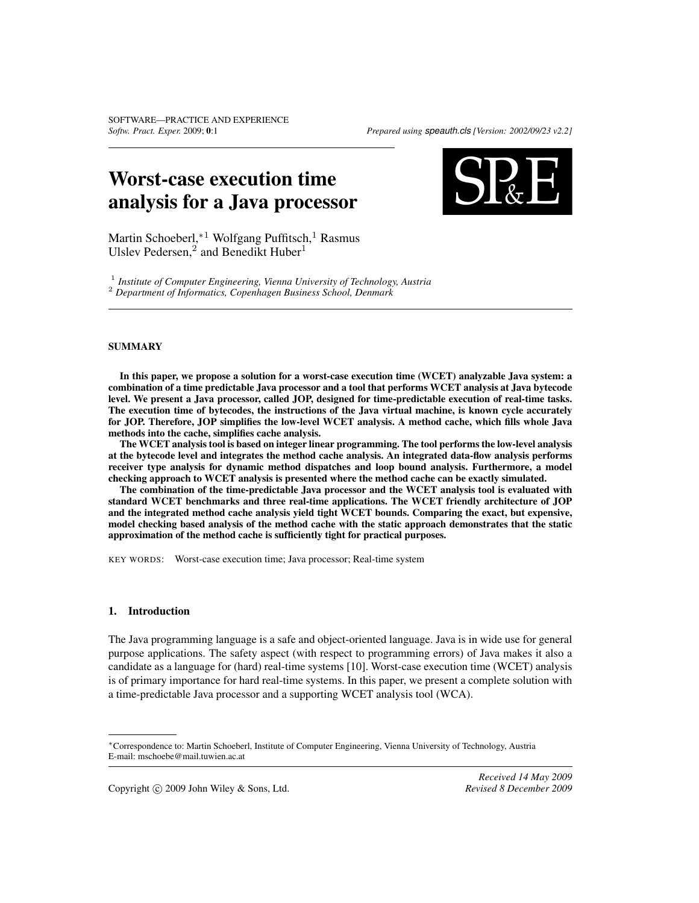*Softw. Pract. Exper.* 2009; 0:1 *Prepared using speauth.cls [Version: 2002/09/23 v2.2]*

# Worst-case execution time analysis for a Java processor



Martin Schoeberl, $*^1$  Wolfgang Puffitsch,<sup>1</sup> Rasmus Ulslev Pedersen,<sup>2</sup> and Benedikt Huber<sup>1</sup>

1 *Institute of Computer Engineering, Vienna University of Technology, Austria* <sup>2</sup> *Department of Informatics, Copenhagen Business School, Denmark*

## SUMMARY

In this paper, we propose a solution for a worst-case execution time (WCET) analyzable Java system: a combination of a time predictable Java processor and a tool that performs WCET analysis at Java bytecode level. We present a Java processor, called JOP, designed for time-predictable execution of real-time tasks. The execution time of bytecodes, the instructions of the Java virtual machine, is known cycle accurately for JOP. Therefore, JOP simplifies the low-level WCET analysis. A method cache, which fills whole Java methods into the cache, simplifies cache analysis.

The WCET analysis tool is based on integer linear programming. The tool performs the low-level analysis at the bytecode level and integrates the method cache analysis. An integrated data-flow analysis performs receiver type analysis for dynamic method dispatches and loop bound analysis. Furthermore, a model checking approach to WCET analysis is presented where the method cache can be exactly simulated.

The combination of the time-predictable Java processor and the WCET analysis tool is evaluated with standard WCET benchmarks and three real-time applications. The WCET friendly architecture of JOP and the integrated method cache analysis yield tight WCET bounds. Comparing the exact, but expensive, model checking based analysis of the method cache with the static approach demonstrates that the static approximation of the method cache is sufficiently tight for practical purposes.

KEY WORDS: Worst-case execution time; Java processor; Real-time system

#### 1. Introduction

The Java programming language is a safe and object-oriented language. Java is in wide use for general purpose applications. The safety aspect (with respect to programming errors) of Java makes it also a candidate as a language for (hard) real-time systems [\[10\]](#page-41-0). Worst-case execution time (WCET) analysis is of primary importance for hard real-time systems. In this paper, we present a complete solution with a time-predictable Java processor and a supporting WCET analysis tool (WCA).

<sup>∗</sup>Correspondence to: Martin Schoeberl, Institute of Computer Engineering, Vienna University of Technology, Austria E-mail: mschoebe@mail.tuwien.ac.at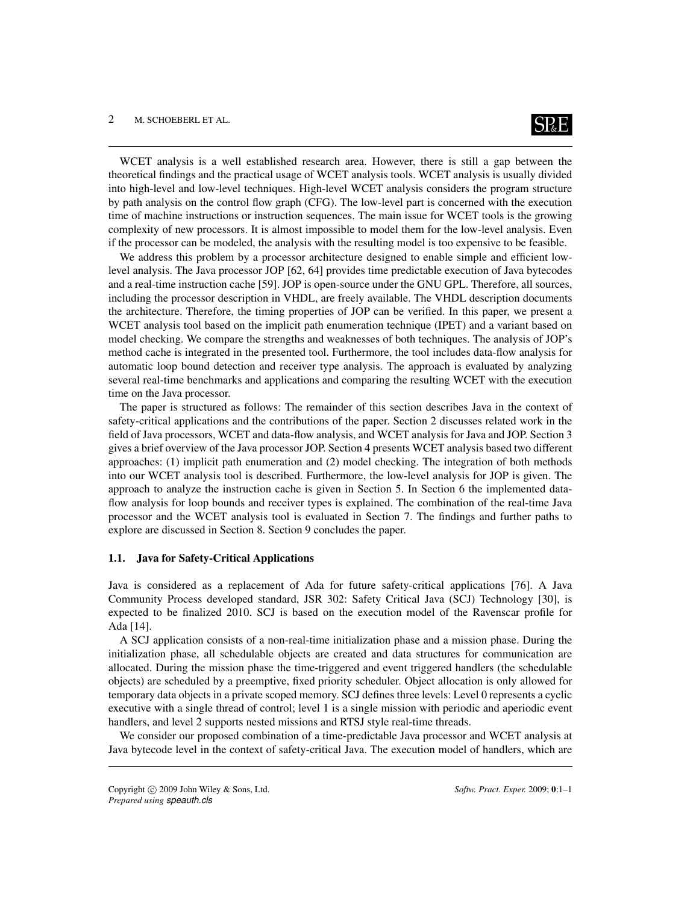

WCET analysis is a well established research area. However, there is still a gap between the theoretical findings and the practical usage of WCET analysis tools. WCET analysis is usually divided into high-level and low-level techniques. High-level WCET analysis considers the program structure by path analysis on the control flow graph (CFG). The low-level part is concerned with the execution time of machine instructions or instruction sequences. The main issue for WCET tools is the growing complexity of new processors. It is almost impossible to model them for the low-level analysis. Even if the processor can be modeled, the analysis with the resulting model is too expensive to be feasible.

We address this problem by a processor architecture designed to enable simple and efficient lowlevel analysis. The Java processor JOP [\[62,](#page-43-0) [64\]](#page-43-1) provides time predictable execution of Java bytecodes and a real-time instruction cache [\[59\]](#page-43-2). JOP is open-source under the GNU GPL. Therefore, all sources, including the processor description in VHDL, are freely available. The VHDL description documents the architecture. Therefore, the timing properties of JOP can be verified. In this paper, we present a WCET analysis tool based on the implicit path enumeration technique (IPET) and a variant based on model checking. We compare the strengths and weaknesses of both techniques. The analysis of JOP's method cache is integrated in the presented tool. Furthermore, the tool includes data-flow analysis for automatic loop bound detection and receiver type analysis. The approach is evaluated by analyzing several real-time benchmarks and applications and comparing the resulting WCET with the execution time on the Java processor.

The paper is structured as follows: The remainder of this section describes Java in the context of safety-critical applications and the contributions of the paper. Section [2](#page-2-0) discusses related work in the field of Java processors, WCET and data-flow analysis, and WCET analysis for Java and JOP. Section [3](#page-5-0) gives a brief overview of the Java processor JOP. Section [4](#page-9-0) presents WCET analysis based two different approaches: (1) implicit path enumeration and (2) model checking. The integration of both methods into our WCET analysis tool is described. Furthermore, the low-level analysis for JOP is given. The approach to analyze the instruction cache is given in Section [5.](#page-18-0) In Section [6](#page-23-0) the implemented dataflow analysis for loop bounds and receiver types is explained. The combination of the real-time Java processor and the WCET analysis tool is evaluated in Section [7.](#page-30-0) The findings and further paths to explore are discussed in Section [8.](#page-37-0) Section [9](#page-40-0) concludes the paper.

#### 1.1. Java for Safety-Critical Applications

Java is considered as a replacement of Ada for future safety-critical applications [\[76\]](#page-44-0). A Java Community Process developed standard, JSR 302: Safety Critical Java (SCJ) Technology [\[30\]](#page-42-0), is expected to be finalized 2010. SCJ is based on the execution model of the Ravenscar profile for Ada [\[14\]](#page-41-1).

A SCJ application consists of a non-real-time initialization phase and a mission phase. During the initialization phase, all schedulable objects are created and data structures for communication are allocated. During the mission phase the time-triggered and event triggered handlers (the schedulable objects) are scheduled by a preemptive, fixed priority scheduler. Object allocation is only allowed for temporary data objects in a private scoped memory. SCJ defines three levels: Level 0 represents a cyclic executive with a single thread of control; level 1 is a single mission with periodic and aperiodic event handlers, and level 2 supports nested missions and RTSJ style real-time threads.

We consider our proposed combination of a time-predictable Java processor and WCET analysis at Java bytecode level in the context of safety-critical Java. The execution model of handlers, which are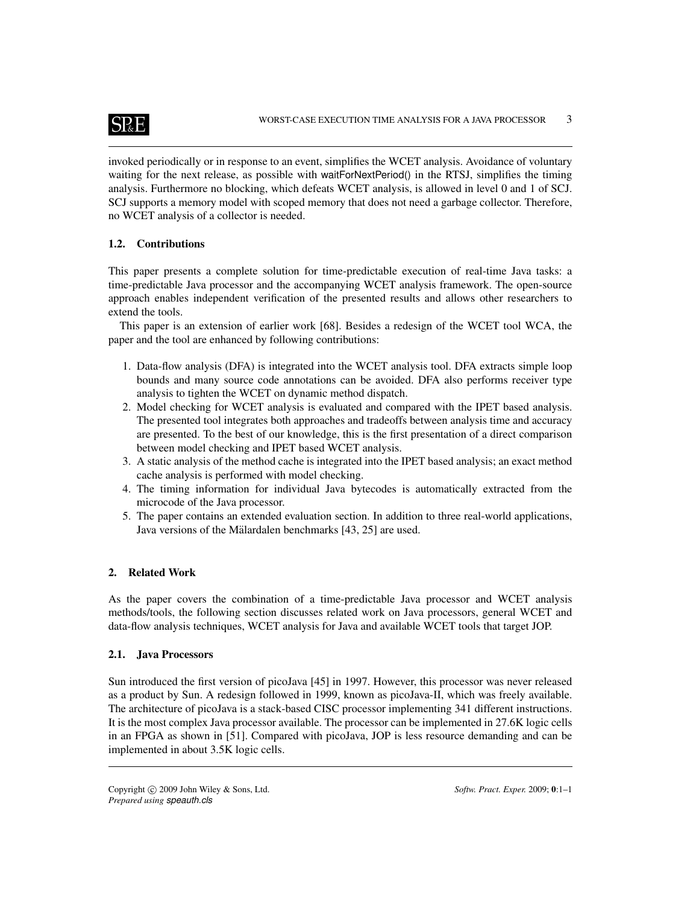invoked periodically or in response to an event, simplifies the WCET analysis. Avoidance of voluntary waiting for the next release, as possible with waitForNextPeriod() in the RTSJ, simplifies the timing analysis. Furthermore no blocking, which defeats WCET analysis, is allowed in level 0 and 1 of SCJ. SCJ supports a memory model with scoped memory that does not need a garbage collector. Therefore, no WCET analysis of a collector is needed.

## 1.2. Contributions

This paper presents a complete solution for time-predictable execution of real-time Java tasks: a time-predictable Java processor and the accompanying WCET analysis framework. The open-source approach enables independent verification of the presented results and allows other researchers to extend the tools.

This paper is an extension of earlier work [\[68\]](#page-43-3). Besides a redesign of the WCET tool WCA, the paper and the tool are enhanced by following contributions:

- 1. Data-flow analysis (DFA) is integrated into the WCET analysis tool. DFA extracts simple loop bounds and many source code annotations can be avoided. DFA also performs receiver type analysis to tighten the WCET on dynamic method dispatch.
- 2. Model checking for WCET analysis is evaluated and compared with the IPET based analysis. The presented tool integrates both approaches and tradeoffs between analysis time and accuracy are presented. To the best of our knowledge, this is the first presentation of a direct comparison between model checking and IPET based WCET analysis.
- 3. A static analysis of the method cache is integrated into the IPET based analysis; an exact method cache analysis is performed with model checking.
- 4. The timing information for individual Java bytecodes is automatically extracted from the microcode of the Java processor.
- 5. The paper contains an extended evaluation section. In addition to three real-world applications, Java versions of the Mälardalen benchmarks [[43,](#page-43-4) [25\]](#page-42-1) are used.

## <span id="page-2-0"></span>2. Related Work

As the paper covers the combination of a time-predictable Java processor and WCET analysis methods/tools, the following section discusses related work on Java processors, general WCET and data-flow analysis techniques, WCET analysis for Java and available WCET tools that target JOP.

## 2.1. Java Processors

Sun introduced the first version of picoJava [\[45\]](#page-43-5) in 1997. However, this processor was never released as a product by Sun. A redesign followed in 1999, known as picoJava-II, which was freely available. The architecture of picoJava is a stack-based CISC processor implementing 341 different instructions. It is the most complex Java processor available. The processor can be implemented in 27.6K logic cells in an FPGA as shown in [\[51\]](#page-43-6). Compared with picoJava, JOP is less resource demanding and can be implemented in about 3.5K logic cells.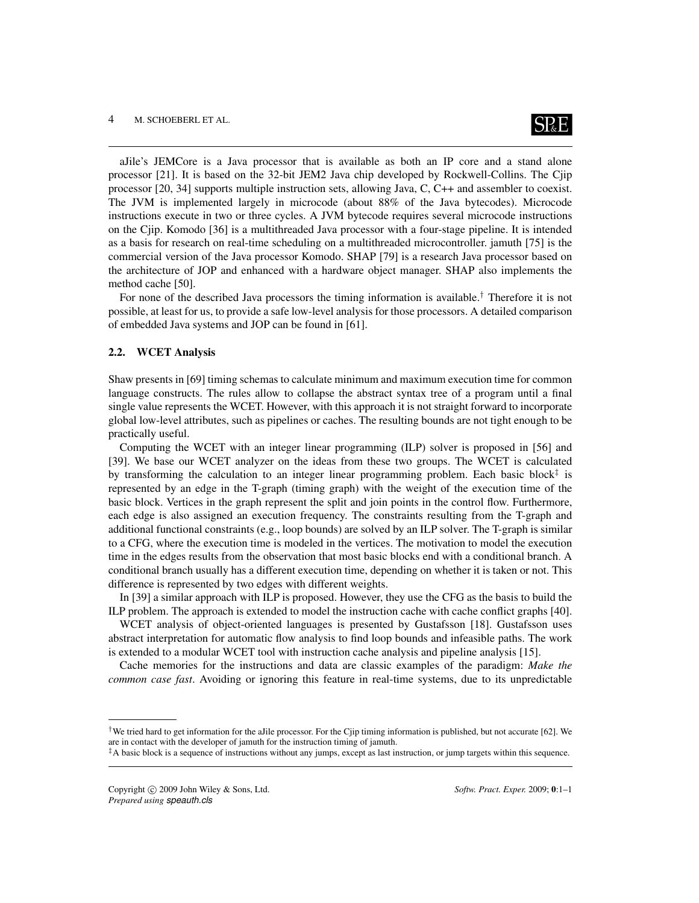

aJile's JEMCore is a Java processor that is available as both an IP core and a stand alone processor [\[21\]](#page-42-2). It is based on the 32-bit JEM2 Java chip developed by Rockwell-Collins. The Cjip processor [\[20,](#page-42-3) [34\]](#page-42-4) supports multiple instruction sets, allowing Java, C, C++ and assembler to coexist. The JVM is implemented largely in microcode (about 88% of the Java bytecodes). Microcode instructions execute in two or three cycles. A JVM bytecode requires several microcode instructions on the Cjip. Komodo [\[36\]](#page-42-5) is a multithreaded Java processor with a four-stage pipeline. It is intended as a basis for research on real-time scheduling on a multithreaded microcontroller. jamuth [\[75\]](#page-44-1) is the commercial version of the Java processor Komodo. SHAP [\[79\]](#page-44-2) is a research Java processor based on the architecture of JOP and enhanced with a hardware object manager. SHAP also implements the method cache [\[50\]](#page-43-7).

For none of the described Java processors the timing information is available.[†](#page-3-0) Therefore it is not possible, at least for us, to provide a safe low-level analysis for those processors. A detailed comparison of embedded Java systems and JOP can be found in [\[61\]](#page-43-8).

## 2.2. WCET Analysis

Shaw presents in [\[69\]](#page-44-3) timing schemas to calculate minimum and maximum execution time for common language constructs. The rules allow to collapse the abstract syntax tree of a program until a final single value represents the WCET. However, with this approach it is not straight forward to incorporate global low-level attributes, such as pipelines or caches. The resulting bounds are not tight enough to be practically useful.

Computing the WCET with an integer linear programming (ILP) solver is proposed in [\[56\]](#page-43-9) and [\[39\]](#page-42-6). We base our WCET analyzer on the ideas from these two groups. The WCET is calculated by transforming the calculation to an integer linear programming problem. Each basic block<sup>[‡](#page-3-1)</sup> is represented by an edge in the T-graph (timing graph) with the weight of the execution time of the basic block. Vertices in the graph represent the split and join points in the control flow. Furthermore, each edge is also assigned an execution frequency. The constraints resulting from the T-graph and additional functional constraints (e.g., loop bounds) are solved by an ILP solver. The T-graph is similar to a CFG, where the execution time is modeled in the vertices. The motivation to model the execution time in the edges results from the observation that most basic blocks end with a conditional branch. A conditional branch usually has a different execution time, depending on whether it is taken or not. This difference is represented by two edges with different weights.

In [\[39\]](#page-42-6) a similar approach with ILP is proposed. However, they use the CFG as the basis to build the ILP problem. The approach is extended to model the instruction cache with cache conflict graphs [\[40\]](#page-42-7).

WCET analysis of object-oriented languages is presented by Gustafsson [\[18\]](#page-42-8). Gustafsson uses abstract interpretation for automatic flow analysis to find loop bounds and infeasible paths. The work is extended to a modular WCET tool with instruction cache analysis and pipeline analysis [\[15\]](#page-41-2).

Cache memories for the instructions and data are classic examples of the paradigm: *Make the common case fast*. Avoiding or ignoring this feature in real-time systems, due to its unpredictable

<span id="page-3-0"></span><sup>†</sup>We tried hard to get information for the aJile processor. For the Cjip timing information is published, but not accurate [\[62\]](#page-43-0). We are in contact with the developer of jamuth for the instruction timing of jamuth.

<span id="page-3-1"></span><sup>‡</sup>A basic block is a sequence of instructions without any jumps, except as last instruction, or jump targets within this sequence.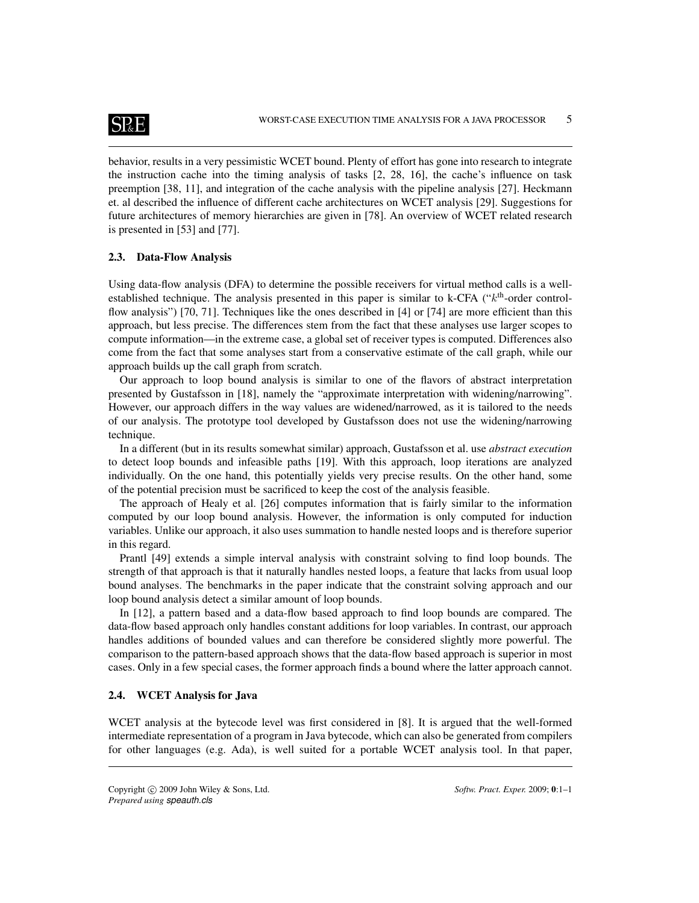behavior, results in a very pessimistic WCET bound. Plenty of effort has gone into research to integrate the instruction cache into the timing analysis of tasks [\[2,](#page-41-3) [28,](#page-42-9) [16\]](#page-41-4), the cache's influence on task preemption [\[38,](#page-42-10) [11\]](#page-41-5), and integration of the cache analysis with the pipeline analysis [\[27\]](#page-42-11). Heckmann et. al described the influence of different cache architectures on WCET analysis [\[29\]](#page-42-12). Suggestions for future architectures of memory hierarchies are given in [\[78\]](#page-44-4). An overview of WCET related research is presented in [\[53\]](#page-43-10) and [\[77\]](#page-44-5).

## 2.3. Data-Flow Analysis

Using data-flow analysis (DFA) to determine the possible receivers for virtual method calls is a wellestablished technique. The analysis presented in this paper is similar to k-CFA ("k<sup>th</sup>-order control-flow analysis") [\[70,](#page-44-6) [71\]](#page-44-7). Techniques like the ones described in [\[4\]](#page-41-6) or [\[74\]](#page-44-8) are more efficient than this approach, but less precise. The differences stem from the fact that these analyses use larger scopes to compute information—in the extreme case, a global set of receiver types is computed. Differences also come from the fact that some analyses start from a conservative estimate of the call graph, while our approach builds up the call graph from scratch.

Our approach to loop bound analysis is similar to one of the flavors of abstract interpretation presented by Gustafsson in [\[18\]](#page-42-8), namely the "approximate interpretation with widening/narrowing". However, our approach differs in the way values are widened/narrowed, as it is tailored to the needs of our analysis. The prototype tool developed by Gustafsson does not use the widening/narrowing technique.

In a different (but in its results somewhat similar) approach, Gustafsson et al. use *abstract execution* to detect loop bounds and infeasible paths [\[19\]](#page-42-13). With this approach, loop iterations are analyzed individually. On the one hand, this potentially yields very precise results. On the other hand, some of the potential precision must be sacrificed to keep the cost of the analysis feasible.

The approach of Healy et al. [\[26\]](#page-42-14) computes information that is fairly similar to the information computed by our loop bound analysis. However, the information is only computed for induction variables. Unlike our approach, it also uses summation to handle nested loops and is therefore superior in this regard.

Prantl [\[49\]](#page-43-11) extends a simple interval analysis with constraint solving to find loop bounds. The strength of that approach is that it naturally handles nested loops, a feature that lacks from usual loop bound analyses. The benchmarks in the paper indicate that the constraint solving approach and our loop bound analysis detect a similar amount of loop bounds.

In [\[12\]](#page-41-7), a pattern based and a data-flow based approach to find loop bounds are compared. The data-flow based approach only handles constant additions for loop variables. In contrast, our approach handles additions of bounded values and can therefore be considered slightly more powerful. The comparison to the pattern-based approach shows that the data-flow based approach is superior in most cases. Only in a few special cases, the former approach finds a bound where the latter approach cannot.

## 2.4. WCET Analysis for Java

WCET analysis at the bytecode level was first considered in [\[8\]](#page-41-8). It is argued that the well-formed intermediate representation of a program in Java bytecode, which can also be generated from compilers for other languages (e.g. Ada), is well suited for a portable WCET analysis tool. In that paper,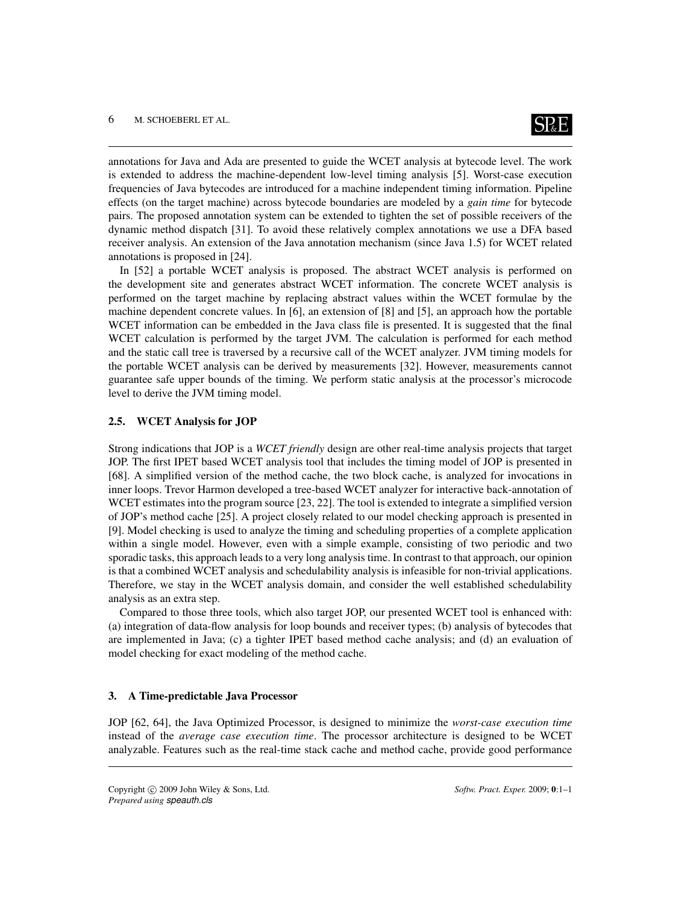

annotations for Java and Ada are presented to guide the WCET analysis at bytecode level. The work is extended to address the machine-dependent low-level timing analysis [\[5\]](#page-41-9). Worst-case execution frequencies of Java bytecodes are introduced for a machine independent timing information. Pipeline effects (on the target machine) across bytecode boundaries are modeled by a *gain time* for bytecode pairs. The proposed annotation system can be extended to tighten the set of possible receivers of the dynamic method dispatch [\[31\]](#page-42-15). To avoid these relatively complex annotations we use a DFA based receiver analysis. An extension of the Java annotation mechanism (since Java 1.5) for WCET related annotations is proposed in [\[24\]](#page-42-16).

In [\[52\]](#page-43-12) a portable WCET analysis is proposed. The abstract WCET analysis is performed on the development site and generates abstract WCET information. The concrete WCET analysis is performed on the target machine by replacing abstract values within the WCET formulae by the machine dependent concrete values. In [\[6\]](#page-41-10), an extension of [\[8\]](#page-41-8) and [\[5\]](#page-41-9), an approach how the portable WCET information can be embedded in the Java class file is presented. It is suggested that the final WCET calculation is performed by the target JVM. The calculation is performed for each method and the static call tree is traversed by a recursive call of the WCET analyzer. JVM timing models for the portable WCET analysis can be derived by measurements [\[32\]](#page-42-17). However, measurements cannot guarantee safe upper bounds of the timing. We perform static analysis at the processor's microcode level to derive the JVM timing model.

## 2.5. WCET Analysis for JOP

Strong indications that JOP is a *WCET friendly* design are other real-time analysis projects that target JOP. The first IPET based WCET analysis tool that includes the timing model of JOP is presented in [\[68\]](#page-43-3). A simplified version of the method cache, the two block cache, is analyzed for invocations in inner loops. Trevor Harmon developed a tree-based WCET analyzer for interactive back-annotation of WCET estimates into the program source [\[23,](#page-42-18) [22\]](#page-42-19). The tool is extended to integrate a simplified version of JOP's method cache [\[25\]](#page-42-1). A project closely related to our model checking approach is presented in [\[9\]](#page-41-11). Model checking is used to analyze the timing and scheduling properties of a complete application within a single model. However, even with a simple example, consisting of two periodic and two sporadic tasks, this approach leads to a very long analysis time. In contrast to that approach, our opinion is that a combined WCET analysis and schedulability analysis is infeasible for non-trivial applications. Therefore, we stay in the WCET analysis domain, and consider the well established schedulability analysis as an extra step.

Compared to those three tools, which also target JOP, our presented WCET tool is enhanced with: (a) integration of data-flow analysis for loop bounds and receiver types; (b) analysis of bytecodes that are implemented in Java; (c) a tighter IPET based method cache analysis; and (d) an evaluation of model checking for exact modeling of the method cache.

## <span id="page-5-0"></span>3. A Time-predictable Java Processor

JOP [\[62,](#page-43-0) [64\]](#page-43-1), the Java Optimized Processor, is designed to minimize the *worst-case execution time* instead of the *average case execution time*. The processor architecture is designed to be WCET analyzable. Features such as the real-time stack cache and method cache, provide good performance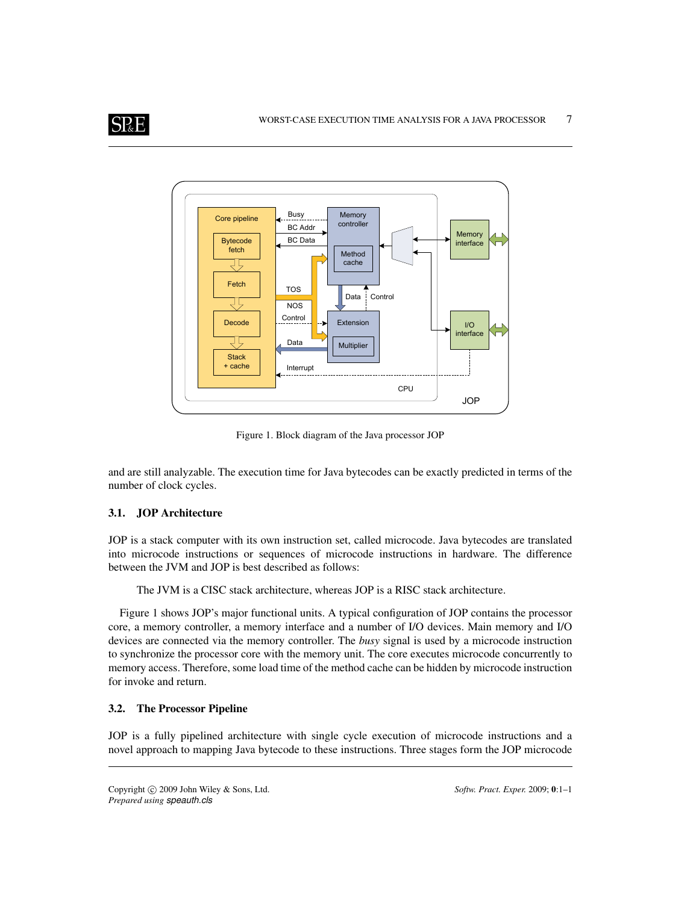



<span id="page-6-0"></span>Figure 1. Block diagram of the Java processor JOP

and are still analyzable. The execution time for Java bytecodes can be exactly predicted in terms of the number of clock cycles.

## 3.1. JOP Architecture

JOP is a stack computer with its own instruction set, called microcode. Java bytecodes are translated into microcode instructions or sequences of microcode instructions in hardware. The difference between the JVM and JOP is best described as follows:

The JVM is a CISC stack architecture, whereas JOP is a RISC stack architecture.

Figure [1](#page-6-0) shows JOP's major functional units. A typical configuration of JOP contains the processor core, a memory controller, a memory interface and a number of I/O devices. Main memory and I/O devices are connected via the memory controller. The *busy* signal is used by a microcode instruction to synchronize the processor core with the memory unit. The core executes microcode concurrently to memory access. Therefore, some load time of the method cache can be hidden by microcode instruction for invoke and return.

## 3.2. The Processor Pipeline

JOP is a fully pipelined architecture with single cycle execution of microcode instructions and a novel approach to mapping Java bytecode to these instructions. Three stages form the JOP microcode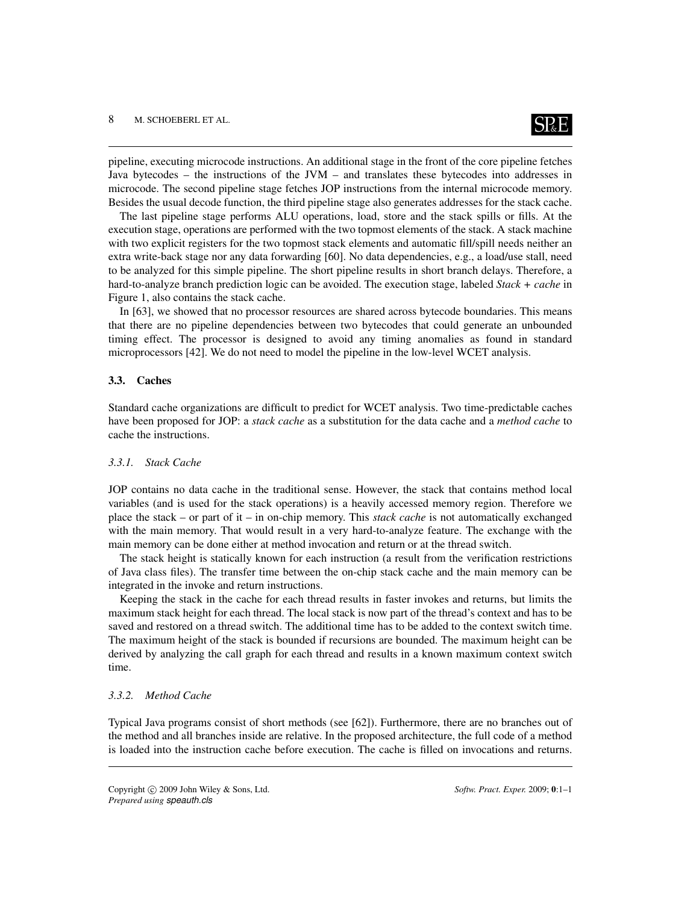

pipeline, executing microcode instructions. An additional stage in the front of the core pipeline fetches Java bytecodes – the instructions of the JVM – and translates these bytecodes into addresses in microcode. The second pipeline stage fetches JOP instructions from the internal microcode memory. Besides the usual decode function, the third pipeline stage also generates addresses for the stack cache.

The last pipeline stage performs ALU operations, load, store and the stack spills or fills. At the execution stage, operations are performed with the two topmost elements of the stack. A stack machine with two explicit registers for the two topmost stack elements and automatic fill/spill needs neither an extra write-back stage nor any data forwarding [\[60\]](#page-43-13). No data dependencies, e.g., a load/use stall, need to be analyzed for this simple pipeline. The short pipeline results in short branch delays. Therefore, a hard-to-analyze branch prediction logic can be avoided. The execution stage, labeled *Stack + cache* in Figure [1,](#page-6-0) also contains the stack cache.

In [\[63\]](#page-43-14), we showed that no processor resources are shared across bytecode boundaries. This means that there are no pipeline dependencies between two bytecodes that could generate an unbounded timing effect. The processor is designed to avoid any timing anomalies as found in standard microprocessors [\[42\]](#page-43-15). We do not need to model the pipeline in the low-level WCET analysis.

#### 3.3. Caches

Standard cache organizations are difficult to predict for WCET analysis. Two time-predictable caches have been proposed for JOP: a *stack cache* as a substitution for the data cache and a *method cache* to cache the instructions.

## *3.3.1. Stack Cache*

JOP contains no data cache in the traditional sense. However, the stack that contains method local variables (and is used for the stack operations) is a heavily accessed memory region. Therefore we place the stack – or part of it – in on-chip memory. This *stack cache* is not automatically exchanged with the main memory. That would result in a very hard-to-analyze feature. The exchange with the main memory can be done either at method invocation and return or at the thread switch.

The stack height is statically known for each instruction (a result from the verification restrictions of Java class files). The transfer time between the on-chip stack cache and the main memory can be integrated in the invoke and return instructions.

Keeping the stack in the cache for each thread results in faster invokes and returns, but limits the maximum stack height for each thread. The local stack is now part of the thread's context and has to be saved and restored on a thread switch. The additional time has to be added to the context switch time. The maximum height of the stack is bounded if recursions are bounded. The maximum height can be derived by analyzing the call graph for each thread and results in a known maximum context switch time.

## *3.3.2. Method Cache*

Typical Java programs consist of short methods (see [\[62\]](#page-43-0)). Furthermore, there are no branches out of the method and all branches inside are relative. In the proposed architecture, the full code of a method is loaded into the instruction cache before execution. The cache is filled on invocations and returns.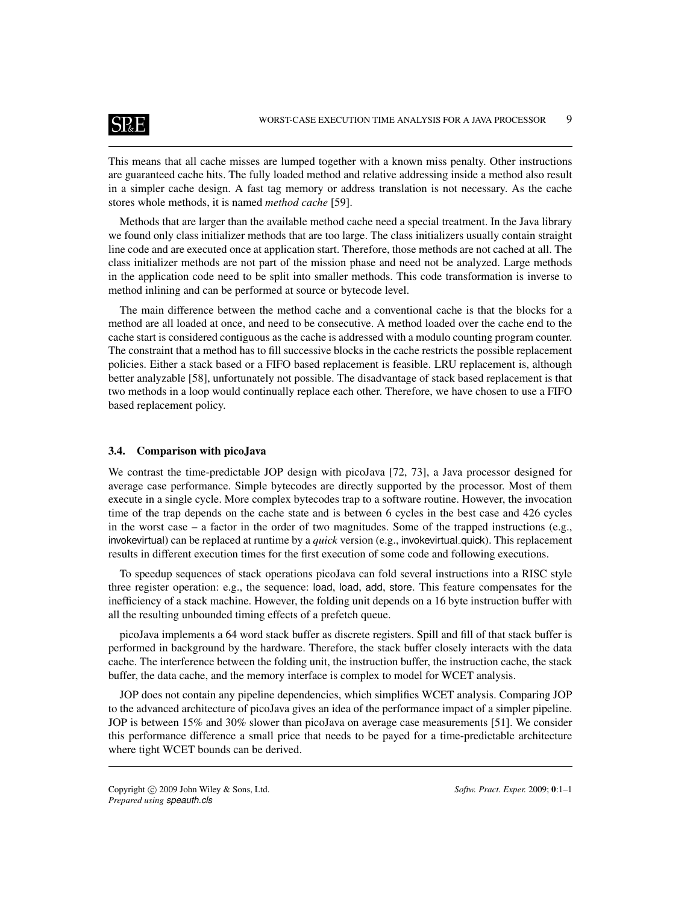## $SRE$

This means that all cache misses are lumped together with a known miss penalty. Other instructions are guaranteed cache hits. The fully loaded method and relative addressing inside a method also result in a simpler cache design. A fast tag memory or address translation is not necessary. As the cache stores whole methods, it is named *method cache* [\[59\]](#page-43-2).

Methods that are larger than the available method cache need a special treatment. In the Java library we found only class initializer methods that are too large. The class initializers usually contain straight line code and are executed once at application start. Therefore, those methods are not cached at all. The class initializer methods are not part of the mission phase and need not be analyzed. Large methods in the application code need to be split into smaller methods. This code transformation is inverse to method inlining and can be performed at source or bytecode level.

The main difference between the method cache and a conventional cache is that the blocks for a method are all loaded at once, and need to be consecutive. A method loaded over the cache end to the cache start is considered contiguous as the cache is addressed with a modulo counting program counter. The constraint that a method has to fill successive blocks in the cache restricts the possible replacement policies. Either a stack based or a FIFO based replacement is feasible. LRU replacement is, although better analyzable [\[58\]](#page-43-16), unfortunately not possible. The disadvantage of stack based replacement is that two methods in a loop would continually replace each other. Therefore, we have chosen to use a FIFO based replacement policy.

## 3.4. Comparison with picoJava

We contrast the time-predictable JOP design with picoJava [\[72,](#page-44-9) [73\]](#page-44-10), a Java processor designed for average case performance. Simple bytecodes are directly supported by the processor. Most of them execute in a single cycle. More complex bytecodes trap to a software routine. However, the invocation time of the trap depends on the cache state and is between 6 cycles in the best case and 426 cycles in the worst case – a factor in the order of two magnitudes. Some of the trapped instructions (e.g., invokevirtual) can be replaced at runtime by a *quick* version (e.g., invokevirtual quick). This replacement results in different execution times for the first execution of some code and following executions.

To speedup sequences of stack operations picoJava can fold several instructions into a RISC style three register operation: e.g., the sequence: load, load, add, store. This feature compensates for the inefficiency of a stack machine. However, the folding unit depends on a 16 byte instruction buffer with all the resulting unbounded timing effects of a prefetch queue.

picoJava implements a 64 word stack buffer as discrete registers. Spill and fill of that stack buffer is performed in background by the hardware. Therefore, the stack buffer closely interacts with the data cache. The interference between the folding unit, the instruction buffer, the instruction cache, the stack buffer, the data cache, and the memory interface is complex to model for WCET analysis.

JOP does not contain any pipeline dependencies, which simplifies WCET analysis. Comparing JOP to the advanced architecture of picoJava gives an idea of the performance impact of a simpler pipeline. JOP is between 15% and 30% slower than picoJava on average case measurements [\[51\]](#page-43-6). We consider this performance difference a small price that needs to be payed for a time-predictable architecture where tight WCET bounds can be derived.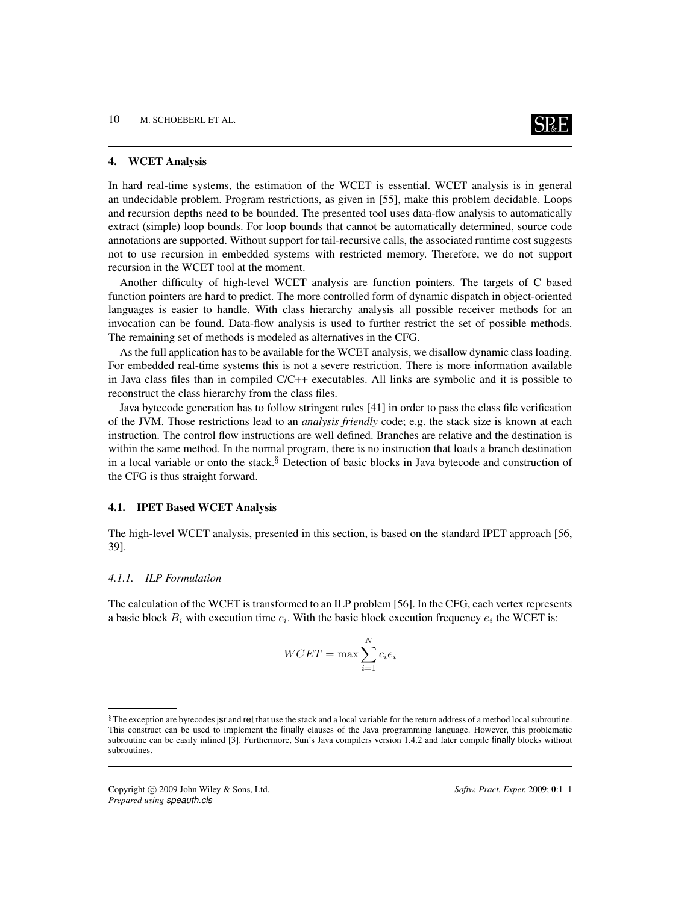

## <span id="page-9-0"></span>4. WCET Analysis

In hard real-time systems, the estimation of the WCET is essential. WCET analysis is in general an undecidable problem. Program restrictions, as given in [\[55\]](#page-43-17), make this problem decidable. Loops and recursion depths need to be bounded. The presented tool uses data-flow analysis to automatically extract (simple) loop bounds. For loop bounds that cannot be automatically determined, source code annotations are supported. Without support for tail-recursive calls, the associated runtime cost suggests not to use recursion in embedded systems with restricted memory. Therefore, we do not support recursion in the WCET tool at the moment.

Another difficulty of high-level WCET analysis are function pointers. The targets of C based function pointers are hard to predict. The more controlled form of dynamic dispatch in object-oriented languages is easier to handle. With class hierarchy analysis all possible receiver methods for an invocation can be found. Data-flow analysis is used to further restrict the set of possible methods. The remaining set of methods is modeled as alternatives in the CFG.

As the full application has to be available for the WCET analysis, we disallow dynamic class loading. For embedded real-time systems this is not a severe restriction. There is more information available in Java class files than in compiled C/C++ executables. All links are symbolic and it is possible to reconstruct the class hierarchy from the class files.

Java bytecode generation has to follow stringent rules [\[41\]](#page-43-18) in order to pass the class file verification of the JVM. Those restrictions lead to an *analysis friendly* code; e.g. the stack size is known at each instruction. The control flow instructions are well defined. Branches are relative and the destination is within the same method. In the normal program, there is no instruction that loads a branch destination in a local variable or onto the stack.[§](#page-9-1) Detection of basic blocks in Java bytecode and construction of the CFG is thus straight forward.

## 4.1. IPET Based WCET Analysis

The high-level WCET analysis, presented in this section, is based on the standard IPET approach [\[56,](#page-43-9) [39\]](#page-42-6).

## *4.1.1. ILP Formulation*

The calculation of the WCET is transformed to an ILP problem [\[56\]](#page-43-9). In the CFG, each vertex represents a basic block  $B_i$  with execution time  $c_i$ . With the basic block execution frequency  $e_i$  the WCET is:

$$
WGET = \max \sum_{i=1}^{N} c_i e_i
$$

<span id="page-9-1"></span><sup>§</sup>The exception are bytecodes jsr and ret that use the stack and a local variable for the return address of a method local subroutine. This construct can be used to implement the finally clauses of the Java programming language. However, this problematic subroutine can be easily inlined [\[3\]](#page-41-12). Furthermore, Sun's Java compilers version 1.4.2 and later compile finally blocks without subroutines.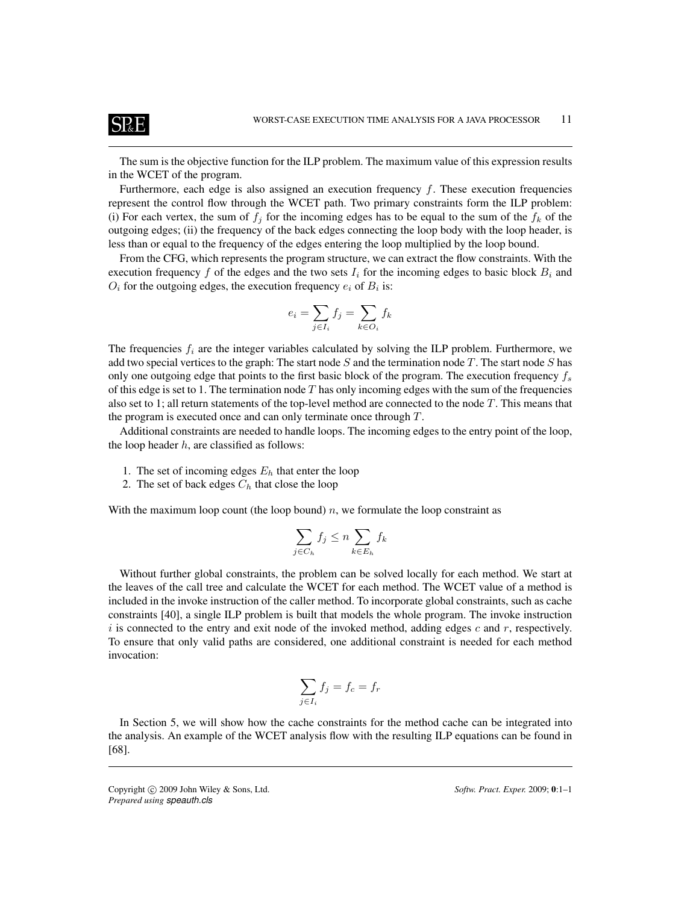The sum is the objective function for the ILP problem. The maximum value of this expression results in the WCET of the program.

Furthermore, each edge is also assigned an execution frequency  $f$ . These execution frequencies represent the control flow through the WCET path. Two primary constraints form the ILP problem: (i) For each vertex, the sum of  $f_j$  for the incoming edges has to be equal to the sum of the  $f_k$  of the outgoing edges; (ii) the frequency of the back edges connecting the loop body with the loop header, is less than or equal to the frequency of the edges entering the loop multiplied by the loop bound.

From the CFG, which represents the program structure, we can extract the flow constraints. With the execution frequency f of the edges and the two sets  $I_i$  for the incoming edges to basic block  $B_i$  and  $O_i$  for the outgoing edges, the execution frequency  $e_i$  of  $B_i$  is:

$$
e_i = \sum_{j \in I_i} f_j = \sum_{k \in O_i} f_k
$$

The frequencies  $f_i$  are the integer variables calculated by solving the ILP problem. Furthermore, we add two special vertices to the graph: The start node  $S$  and the termination node  $T$ . The start node  $S$  has only one outgoing edge that points to the first basic block of the program. The execution frequency  $f_s$ of this edge is set to 1. The termination node  $T$  has only incoming edges with the sum of the frequencies also set to 1; all return statements of the top-level method are connected to the node  $T$ . This means that the program is executed once and can only terminate once through T.

Additional constraints are needed to handle loops. The incoming edges to the entry point of the loop, the loop header  $h$ , are classified as follows:

- 1. The set of incoming edges  $E_h$  that enter the loop
- 2. The set of back edges  $C_h$  that close the loop

With the maximum loop count (the loop bound)  $n$ , we formulate the loop constraint as

$$
\sum_{j \in C_h} f_j \le n \sum_{k \in E_h} f_k
$$

Without further global constraints, the problem can be solved locally for each method. We start at the leaves of the call tree and calculate the WCET for each method. The WCET value of a method is included in the invoke instruction of the caller method. To incorporate global constraints, such as cache constraints [\[40\]](#page-42-7), a single ILP problem is built that models the whole program. The invoke instruction i is connected to the entry and exit node of the invoked method, adding edges c and  $r$ , respectively. To ensure that only valid paths are considered, one additional constraint is needed for each method invocation:

$$
\sum_{j \in I_i} f_j = f_c = f_r
$$

In Section [5,](#page-18-0) we will show how the cache constraints for the method cache can be integrated into the analysis. An example of the WCET analysis flow with the resulting ILP equations can be found in [\[68\]](#page-43-3).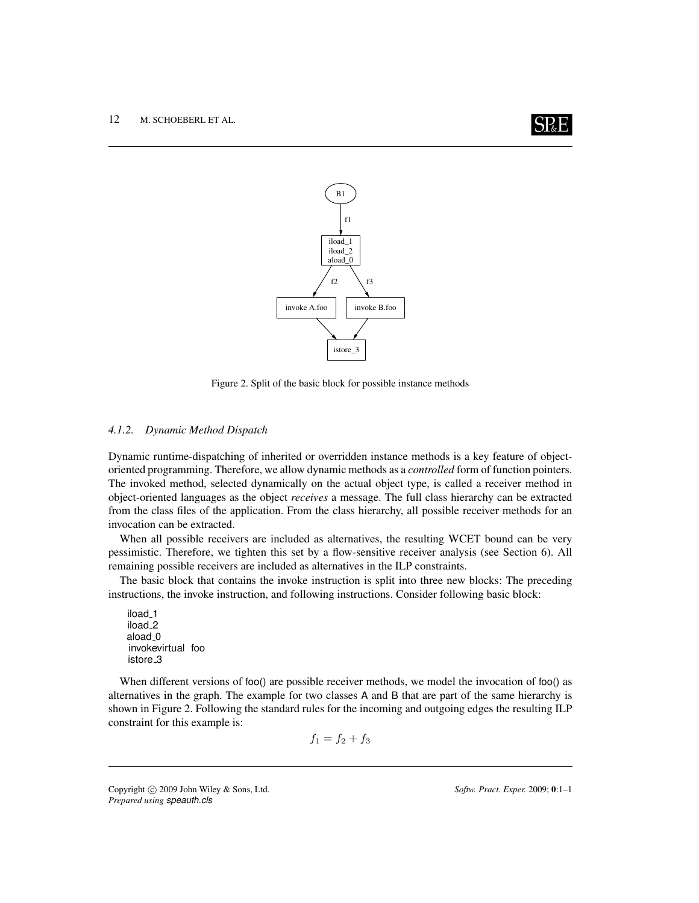



<span id="page-11-0"></span>Figure 2. Split of the basic block for possible instance methods

#### *4.1.2. Dynamic Method Dispatch*

Dynamic runtime-dispatching of inherited or overridden instance methods is a key feature of objectoriented programming. Therefore, we allow dynamic methods as a *controlled* form of function pointers. The invoked method, selected dynamically on the actual object type, is called a receiver method in object-oriented languages as the object *receives* a message. The full class hierarchy can be extracted from the class files of the application. From the class hierarchy, all possible receiver methods for an invocation can be extracted.

When all possible receivers are included as alternatives, the resulting WCET bound can be very pessimistic. Therefore, we tighten this set by a flow-sensitive receiver analysis (see Section [6\)](#page-23-0). All remaining possible receivers are included as alternatives in the ILP constraints.

The basic block that contains the invoke instruction is split into three new blocks: The preceding instructions, the invoke instruction, and following instructions. Consider following basic block:

iload<sub>-1</sub> iload 2 aload<sub>-0</sub> invokevirtual foo istore<sub>-3</sub>

When different versions of foo() are possible receiver methods, we model the invocation of foo() as alternatives in the graph. The example for two classes A and B that are part of the same hierarchy is shown in Figure [2.](#page-11-0) Following the standard rules for the incoming and outgoing edges the resulting ILP constraint for this example is:

 $f_1 = f_2 + f_3$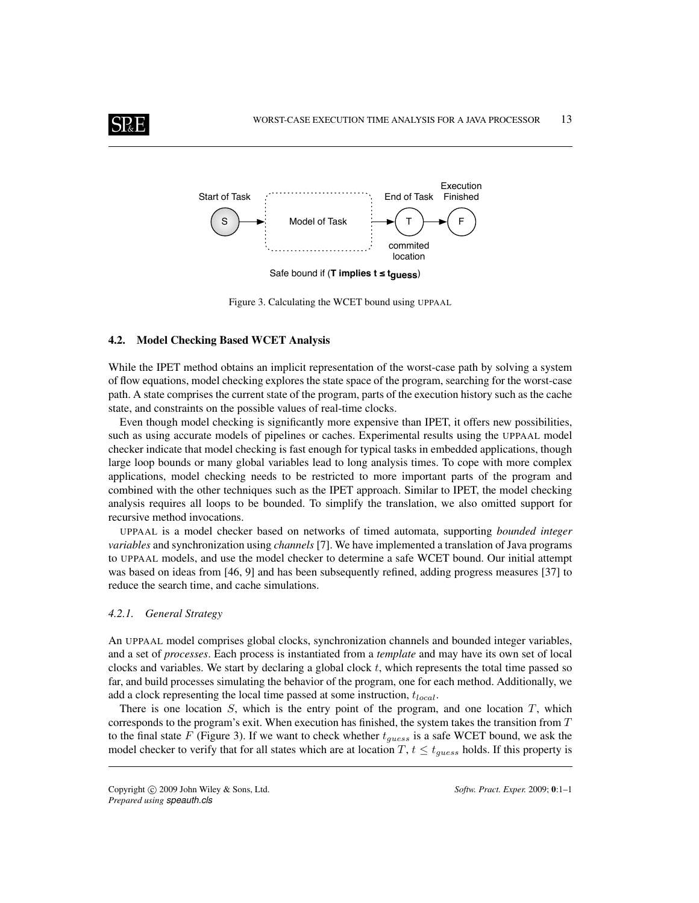



<span id="page-12-0"></span>Figure 3. Calculating the WCET bound using UPPAAL

## 4.2. Model Checking Based WCET Analysis

While the IPET method obtains an implicit representation of the worst-case path by solving a system of flow equations, model checking explores the state space of the program, searching for the worst-case path. A state comprises the current state of the program, parts of the execution history such as the cache state, and constraints on the possible values of real-time clocks.

Even though model checking is significantly more expensive than IPET, it offers new possibilities, such as using accurate models of pipelines or caches. Experimental results using the UPPAAL model checker indicate that model checking is fast enough for typical tasks in embedded applications, though large loop bounds or many global variables lead to long analysis times. To cope with more complex applications, model checking needs to be restricted to more important parts of the program and combined with the other techniques such as the IPET approach. Similar to IPET, the model checking analysis requires all loops to be bounded. To simplify the translation, we also omitted support for recursive method invocations.

UPPAAL is a model checker based on networks of timed automata, supporting *bounded integer variables* and synchronization using *channels* [\[7\]](#page-41-13). We have implemented a translation of Java programs to UPPAAL models, and use the model checker to determine a safe WCET bound. Our initial attempt was based on ideas from [\[46,](#page-43-19) [9\]](#page-41-11) and has been subsequently refined, adding progress measures [\[37\]](#page-42-20) to reduce the search time, and cache simulations.

## *4.2.1. General Strategy*

An UPPAAL model comprises global clocks, synchronization channels and bounded integer variables, and a set of *processes*. Each process is instantiated from a *template* and may have its own set of local clocks and variables. We start by declaring a global clock t, which represents the total time passed so far, and build processes simulating the behavior of the program, one for each method. Additionally, we add a clock representing the local time passed at some instruction,  $t_{local}$ .

There is one location  $S$ , which is the entry point of the program, and one location  $T$ , which corresponds to the program's exit. When execution has finished, the system takes the transition from  $T$ to the final state F (Figure [3\)](#page-12-0). If we want to check whether  $t_{guess}$  is a safe WCET bound, we ask the model checker to verify that for all states which are at location  $T, t \leq t_{guess}$  holds. If this property is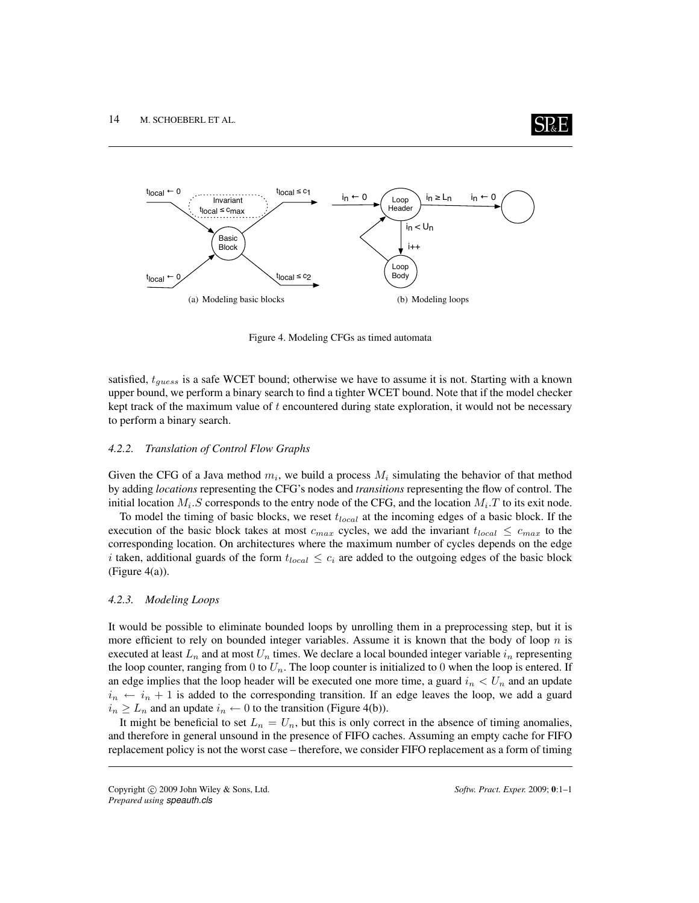

<span id="page-13-0"></span>

<span id="page-13-1"></span>Figure 4. Modeling CFGs as timed automata

satisfied,  $t_{guess}$  is a safe WCET bound; otherwise we have to assume it is not. Starting with a known upper bound, we perform a binary search to find a tighter WCET bound. Note that if the model checker kept track of the maximum value of  $t$  encountered during state exploration, it would not be necessary to perform a binary search.

## *4.2.2. Translation of Control Flow Graphs*

Given the CFG of a Java method  $m_i$ , we build a process  $M_i$  simulating the behavior of that method by adding *locations* representing the CFG's nodes and *transitions* representing the flow of control. The initial location  $M_i.S$  corresponds to the entry node of the CFG, and the location  $M_i.T$  to its exit node.

To model the timing of basic blocks, we reset  $t_{local}$  at the incoming edges of a basic block. If the execution of the basic block takes at most  $c_{max}$  cycles, we add the invariant  $t_{local} \leq c_{max}$  to the corresponding location. On architectures where the maximum number of cycles depends on the edge i taken, additional guards of the form  $t_{local} \leq c_i$  are added to the outgoing edges of the basic block (Figure [4\(a\)\)](#page-13-0).

#### *4.2.3. Modeling Loops*

It would be possible to eliminate bounded loops by unrolling them in a preprocessing step, but it is more efficient to rely on bounded integer variables. Assume it is known that the body of loop  $n$  is executed at least  $L_n$  and at most  $U_n$  times. We declare a local bounded integer variable  $i_n$  representing the loop counter, ranging from 0 to  $U_n$ . The loop counter is initialized to 0 when the loop is entered. If an edge implies that the loop header will be executed one more time, a guard  $i_n < U_n$  and an update  $i_n \leftarrow i_n + 1$  is added to the corresponding transition. If an edge leaves the loop, we add a guard  $i_n \ge L_n$  and an update  $i_n \leftarrow 0$  to the transition (Figure [4\(b\)\)](#page-13-1).

It might be beneficial to set  $L_n = U_n$ , but this is only correct in the absence of timing anomalies, and therefore in general unsound in the presence of FIFO caches. Assuming an empty cache for FIFO replacement policy is not the worst case – therefore, we consider FIFO replacement as a form of timing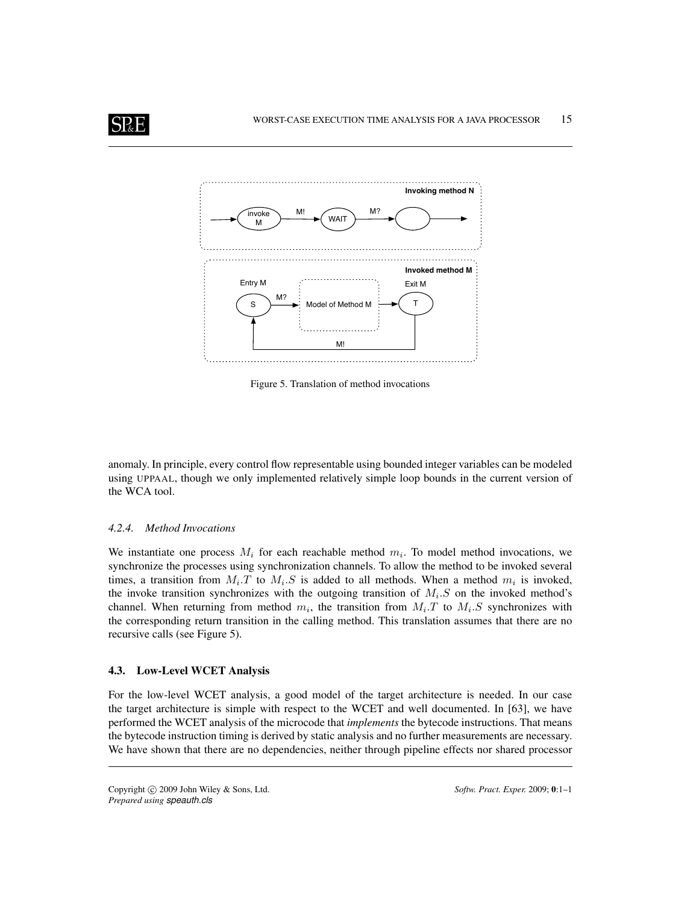



<span id="page-14-0"></span>Figure 5. Translation of method invocations

anomaly. In principle, every control flow representable using bounded integer variables can be modeled using UPPAAL, though we only implemented relatively simple loop bounds in the current version of the WCA tool.

## *4.2.4. Method Invocations*

We instantiate one process  $M_i$  for each reachable method  $m_i$ . To model method invocations, we synchronize the processes using synchronization channels. To allow the method to be invoked several times, a transition from  $M_i$ . T to  $M_i$ . S is added to all methods. When a method  $m_i$  is invoked, the invoke transition synchronizes with the outgoing transition of  $M_i.S$  on the invoked method's channel. When returning from method  $m_i$ , the transition from  $M_i$ . T to  $M_i$ . S synchronizes with the corresponding return transition in the calling method. This translation assumes that there are no recursive calls (see Figure [5\)](#page-14-0).

## 4.3. Low-Level WCET Analysis

For the low-level WCET analysis, a good model of the target architecture is needed. In our case the target architecture is simple with respect to the WCET and well documented. In [\[63\]](#page-43-14), we have performed the WCET analysis of the microcode that *implements* the bytecode instructions. That means the bytecode instruction timing is derived by static analysis and no further measurements are necessary. We have shown that there are no dependencies, neither through pipeline effects nor shared processor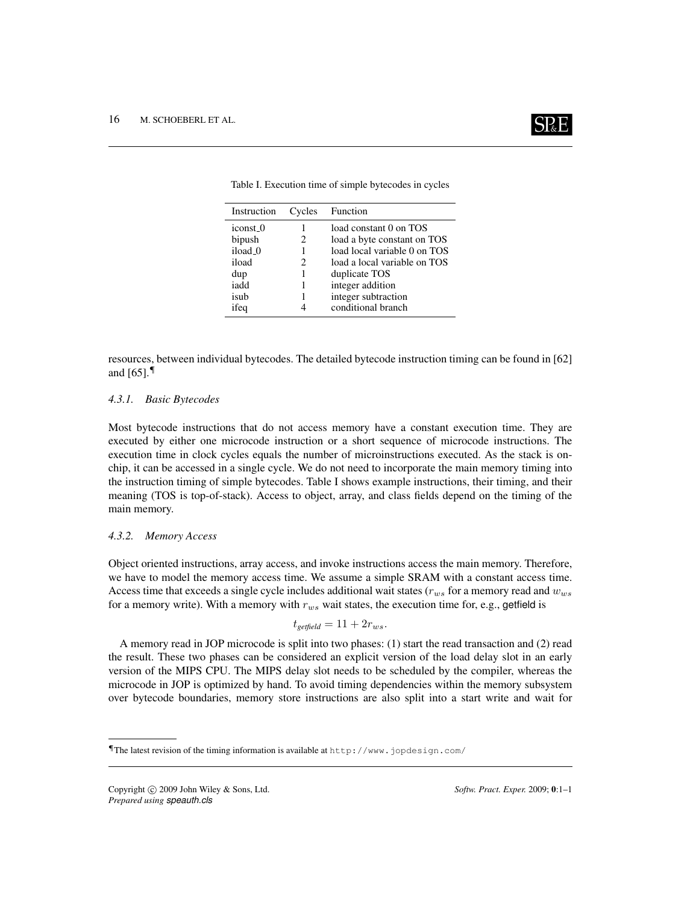

| Instruction        | Cycles | Function                     |
|--------------------|--------|------------------------------|
| iconst_0           |        | load constant 0 on TOS       |
| bipush             | 2      | load a byte constant on TOS  |
| iload <sub>0</sub> |        | load local variable 0 on TOS |
| iload              | 2      | load a local variable on TOS |
| dup                |        | duplicate TOS                |
| iadd               |        | integer addition             |
| isub               |        | integer subtraction          |
| ifeq               |        | conditional branch           |
|                    |        |                              |

<span id="page-15-1"></span>Table I. Execution time of simple bytecodes in cycles

resources, between individual bytecodes. The detailed bytecode instruction timing can be found in [\[62\]](#page-43-0) and [\[65\]](#page-43-20).[¶](#page-15-0)

#### *4.3.1. Basic Bytecodes*

Most bytecode instructions that do not access memory have a constant execution time. They are executed by either one microcode instruction or a short sequence of microcode instructions. The execution time in clock cycles equals the number of microinstructions executed. As the stack is onchip, it can be accessed in a single cycle. We do not need to incorporate the main memory timing into the instruction timing of simple bytecodes. Table [I](#page-15-1) shows example instructions, their timing, and their meaning (TOS is top-of-stack). Access to object, array, and class fields depend on the timing of the main memory.

## <span id="page-15-2"></span>*4.3.2. Memory Access*

Object oriented instructions, array access, and invoke instructions access the main memory. Therefore, we have to model the memory access time. We assume a simple SRAM with a constant access time. Access time that exceeds a single cycle includes additional wait states ( $r_{ws}$  for a memory read and  $w_{ws}$ ) for a memory write). With a memory with  $r_{ws}$  wait states, the execution time for, e.g., getfield is

$$
t_{\text{getfield}} = 11 + 2r_{ws}.
$$

A memory read in JOP microcode is split into two phases: (1) start the read transaction and (2) read the result. These two phases can be considered an explicit version of the load delay slot in an early version of the MIPS CPU. The MIPS delay slot needs to be scheduled by the compiler, whereas the microcode in JOP is optimized by hand. To avoid timing dependencies within the memory subsystem over bytecode boundaries, memory store instructions are also split into a start write and wait for

<span id="page-15-0"></span><sup>¶</sup>The latest revision of the timing information is available at <http://www.jopdesign.com/>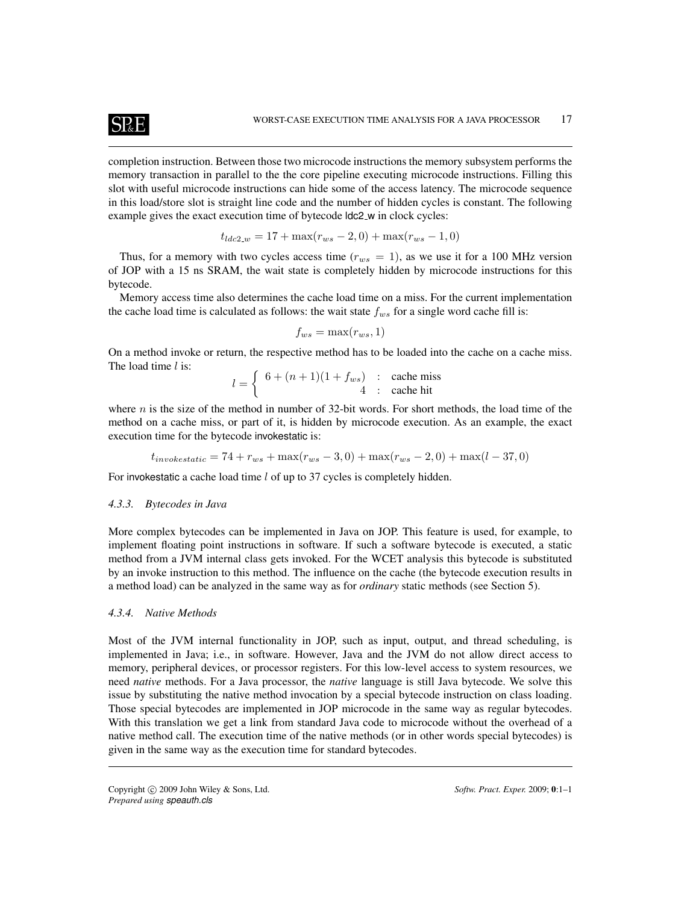completion instruction. Between those two microcode instructions the memory subsystem performs the memory transaction in parallel to the the core pipeline executing microcode instructions. Filling this slot with useful microcode instructions can hide some of the access latency. The microcode sequence in this load/store slot is straight line code and the number of hidden cycles is constant. The following example gives the exact execution time of bytecode  $\text{Idc2}_w$  in clock cycles:

$$
t_{ldc2,w} = 17 + \max(r_{ws} - 2,0) + \max(r_{ws} - 1,0)
$$

Thus, for a memory with two cycles access time ( $r_{ws} = 1$ ), as we use it for a 100 MHz version of JOP with a 15 ns SRAM, the wait state is completely hidden by microcode instructions for this bytecode.

Memory access time also determines the cache load time on a miss. For the current implementation the cache load time is calculated as follows: the wait state  $f_{ws}$  for a single word cache fill is:

$$
f_{ws} = \max(r_{ws}, 1)
$$

On a method invoke or return, the respective method has to be loaded into the cache on a cache miss. The load time *l* is:

$$
l = \begin{cases} 6 + (n+1)(1 + f_{ws}) & \text{: cache miss} \\ 4 & \text{: cache hit} \end{cases}
$$

where  $n$  is the size of the method in number of 32-bit words. For short methods, the load time of the method on a cache miss, or part of it, is hidden by microcode execution. As an example, the exact execution time for the bytecode invokestatic is:

$$
t_{involestatic} = 74 + r_{ws} + \max(r_{ws} - 3, 0) + \max(r_{ws} - 2, 0) + \max(l - 37, 0)
$$

For invokestatic a cache load time *l* of up to 37 cycles is completely hidden.

#### *4.3.3. Bytecodes in Java*

More complex bytecodes can be implemented in Java on JOP. This feature is used, for example, to implement floating point instructions in software. If such a software bytecode is executed, a static method from a JVM internal class gets invoked. For the WCET analysis this bytecode is substituted by an invoke instruction to this method. The influence on the cache (the bytecode execution results in a method load) can be analyzed in the same way as for *ordinary* static methods (see Section [5\)](#page-18-0).

## *4.3.4. Native Methods*

Most of the JVM internal functionality in JOP, such as input, output, and thread scheduling, is implemented in Java; i.e., in software. However, Java and the JVM do not allow direct access to memory, peripheral devices, or processor registers. For this low-level access to system resources, we need *native* methods. For a Java processor, the *native* language is still Java bytecode. We solve this issue by substituting the native method invocation by a special bytecode instruction on class loading. Those special bytecodes are implemented in JOP microcode in the same way as regular bytecodes. With this translation we get a link from standard Java code to microcode without the overhead of a native method call. The execution time of the native methods (or in other words special bytecodes) is given in the same way as the execution time for standard bytecodes.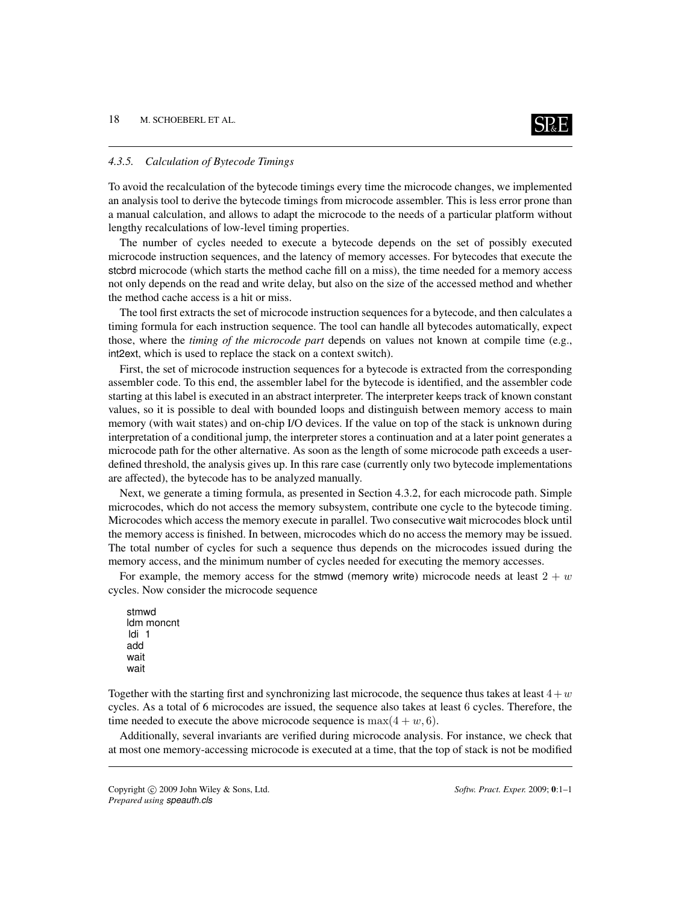

## *4.3.5. Calculation of Bytecode Timings*

To avoid the recalculation of the bytecode timings every time the microcode changes, we implemented an analysis tool to derive the bytecode timings from microcode assembler. This is less error prone than a manual calculation, and allows to adapt the microcode to the needs of a particular platform without lengthy recalculations of low-level timing properties.

The number of cycles needed to execute a bytecode depends on the set of possibly executed microcode instruction sequences, and the latency of memory accesses. For bytecodes that execute the stcbrd microcode (which starts the method cache fill on a miss), the time needed for a memory access not only depends on the read and write delay, but also on the size of the accessed method and whether the method cache access is a hit or miss.

The tool first extracts the set of microcode instruction sequences for a bytecode, and then calculates a timing formula for each instruction sequence. The tool can handle all bytecodes automatically, expect those, where the *timing of the microcode part* depends on values not known at compile time (e.g., int2ext, which is used to replace the stack on a context switch).

First, the set of microcode instruction sequences for a bytecode is extracted from the corresponding assembler code. To this end, the assembler label for the bytecode is identified, and the assembler code starting at this label is executed in an abstract interpreter. The interpreter keeps track of known constant values, so it is possible to deal with bounded loops and distinguish between memory access to main memory (with wait states) and on-chip I/O devices. If the value on top of the stack is unknown during interpretation of a conditional jump, the interpreter stores a continuation and at a later point generates a microcode path for the other alternative. As soon as the length of some microcode path exceeds a userdefined threshold, the analysis gives up. In this rare case (currently only two bytecode implementations are affected), the bytecode has to be analyzed manually.

Next, we generate a timing formula, as presented in Section [4.3.2,](#page-15-2) for each microcode path. Simple microcodes, which do not access the memory subsystem, contribute one cycle to the bytecode timing. Microcodes which access the memory execute in parallel. Two consecutive wait microcodes block until the memory access is finished. In between, microcodes which do no access the memory may be issued. The total number of cycles for such a sequence thus depends on the microcodes issued during the memory access, and the minimum number of cycles needed for executing the memory accesses.

For example, the memory access for the stmwd (memory write) microcode needs at least  $2 + w$ cycles. Now consider the microcode sequence

stmwd ldm moncnt ldi 1 add wait wait

Together with the starting first and synchronizing last microcode, the sequence thus takes at least  $4+w$ cycles. As a total of 6 microcodes are issued, the sequence also takes at least 6 cycles. Therefore, the time needed to execute the above microcode sequence is  $\max(4 + w, 6)$ .

Additionally, several invariants are verified during microcode analysis. For instance, we check that at most one memory-accessing microcode is executed at a time, that the top of stack is not be modified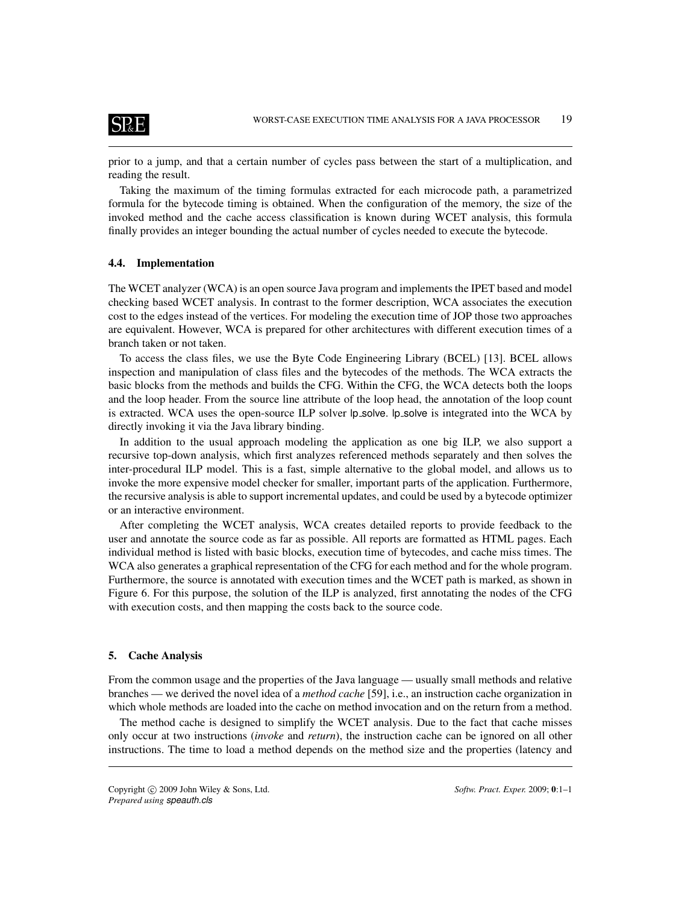# $SRE$

prior to a jump, and that a certain number of cycles pass between the start of a multiplication, and reading the result.

Taking the maximum of the timing formulas extracted for each microcode path, a parametrized formula for the bytecode timing is obtained. When the configuration of the memory, the size of the invoked method and the cache access classification is known during WCET analysis, this formula finally provides an integer bounding the actual number of cycles needed to execute the bytecode.

## 4.4. Implementation

The WCET analyzer (WCA) is an open source Java program and implements the IPET based and model checking based WCET analysis. In contrast to the former description, WCA associates the execution cost to the edges instead of the vertices. For modeling the execution time of JOP those two approaches are equivalent. However, WCA is prepared for other architectures with different execution times of a branch taken or not taken.

To access the class files, we use the Byte Code Engineering Library (BCEL) [\[13\]](#page-41-14). BCEL allows inspection and manipulation of class files and the bytecodes of the methods. The WCA extracts the basic blocks from the methods and builds the CFG. Within the CFG, the WCA detects both the loops and the loop header. From the source line attribute of the loop head, the annotation of the loop count is extracted. WCA uses the open-source ILP solver lp solve. lp solve is integrated into the WCA by directly invoking it via the Java library binding.

In addition to the usual approach modeling the application as one big ILP, we also support a recursive top-down analysis, which first analyzes referenced methods separately and then solves the inter-procedural ILP model. This is a fast, simple alternative to the global model, and allows us to invoke the more expensive model checker for smaller, important parts of the application. Furthermore, the recursive analysis is able to support incremental updates, and could be used by a bytecode optimizer or an interactive environment.

After completing the WCET analysis, WCA creates detailed reports to provide feedback to the user and annotate the source code as far as possible. All reports are formatted as HTML pages. Each individual method is listed with basic blocks, execution time of bytecodes, and cache miss times. The WCA also generates a graphical representation of the CFG for each method and for the whole program. Furthermore, the source is annotated with execution times and the WCET path is marked, as shown in Figure [6.](#page-19-0) For this purpose, the solution of the ILP is analyzed, first annotating the nodes of the CFG with execution costs, and then mapping the costs back to the source code.

#### <span id="page-18-0"></span>5. Cache Analysis

From the common usage and the properties of the Java language — usually small methods and relative branches — we derived the novel idea of a *method cache* [\[59\]](#page-43-2), i.e., an instruction cache organization in which whole methods are loaded into the cache on method invocation and on the return from a method.

The method cache is designed to simplify the WCET analysis. Due to the fact that cache misses only occur at two instructions (*invoke* and *return*), the instruction cache can be ignored on all other instructions. The time to load a method depends on the method size and the properties (latency and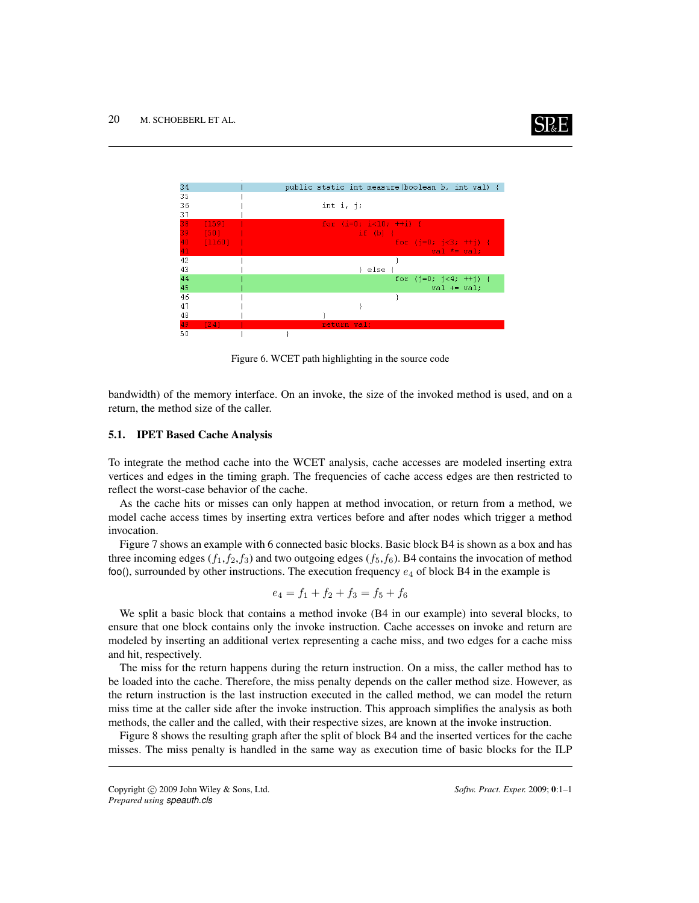



<span id="page-19-0"></span>Figure 6. WCET path highlighting in the source code

bandwidth) of the memory interface. On an invoke, the size of the invoked method is used, and on a return, the method size of the caller.

## 5.1. IPET Based Cache Analysis

To integrate the method cache into the WCET analysis, cache accesses are modeled inserting extra vertices and edges in the timing graph. The frequencies of cache access edges are then restricted to reflect the worst-case behavior of the cache.

As the cache hits or misses can only happen at method invocation, or return from a method, we model cache access times by inserting extra vertices before and after nodes which trigger a method invocation.

Figure [7](#page-20-0) shows an example with 6 connected basic blocks. Basic block B4 is shown as a box and has three incoming edges ( $f_1, f_2, f_3$ ) and two outgoing edges ( $f_5, f_6$ ). B4 contains the invocation of method foo(), surrounded by other instructions. The execution frequency  $e_4$  of block B4 in the example is

$$
e_4 = f_1 + f_2 + f_3 = f_5 + f_6
$$

We split a basic block that contains a method invoke (B4 in our example) into several blocks, to ensure that one block contains only the invoke instruction. Cache accesses on invoke and return are modeled by inserting an additional vertex representing a cache miss, and two edges for a cache miss and hit, respectively.

The miss for the return happens during the return instruction. On a miss, the caller method has to be loaded into the cache. Therefore, the miss penalty depends on the caller method size. However, as the return instruction is the last instruction executed in the called method, we can model the return miss time at the caller side after the invoke instruction. This approach simplifies the analysis as both methods, the caller and the called, with their respective sizes, are known at the invoke instruction.

Figure [8](#page-21-0) shows the resulting graph after the split of block B4 and the inserted vertices for the cache misses. The miss penalty is handled in the same way as execution time of basic blocks for the ILP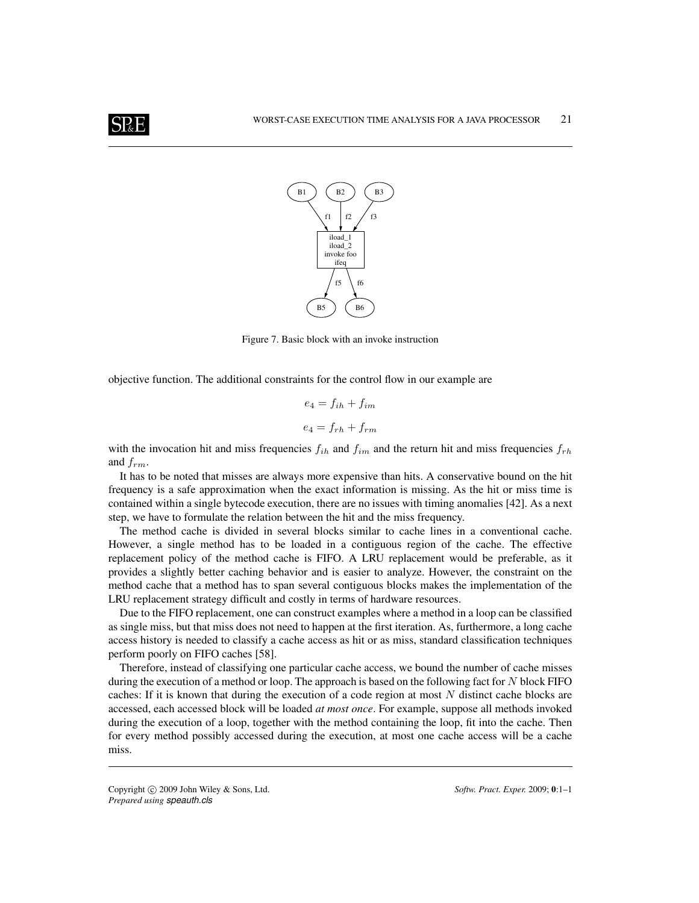



<span id="page-20-0"></span>Figure 7. Basic block with an invoke instruction

objective function. The additional constraints for the control flow in our example are

$$
e_4 = f_{ih} + f_{im}
$$

$$
e_4 = f_{rh} + f_{rm}
$$

with the invocation hit and miss frequencies  $f_{ih}$  and  $f_{im}$  and the return hit and miss frequencies  $f_{rh}$ and  $f_{rm}$ .

It has to be noted that misses are always more expensive than hits. A conservative bound on the hit frequency is a safe approximation when the exact information is missing. As the hit or miss time is contained within a single bytecode execution, there are no issues with timing anomalies [\[42\]](#page-43-15). As a next step, we have to formulate the relation between the hit and the miss frequency.

The method cache is divided in several blocks similar to cache lines in a conventional cache. However, a single method has to be loaded in a contiguous region of the cache. The effective replacement policy of the method cache is FIFO. A LRU replacement would be preferable, as it provides a slightly better caching behavior and is easier to analyze. However, the constraint on the method cache that a method has to span several contiguous blocks makes the implementation of the LRU replacement strategy difficult and costly in terms of hardware resources.

Due to the FIFO replacement, one can construct examples where a method in a loop can be classified as single miss, but that miss does not need to happen at the first iteration. As, furthermore, a long cache access history is needed to classify a cache access as hit or as miss, standard classification techniques perform poorly on FIFO caches [\[58\]](#page-43-16).

Therefore, instead of classifying one particular cache access, we bound the number of cache misses during the execution of a method or loop. The approach is based on the following fact for  $N$  block FIFO caches: If it is known that during the execution of a code region at most  $N$  distinct cache blocks are accessed, each accessed block will be loaded *at most once*. For example, suppose all methods invoked during the execution of a loop, together with the method containing the loop, fit into the cache. Then for every method possibly accessed during the execution, at most one cache access will be a cache miss.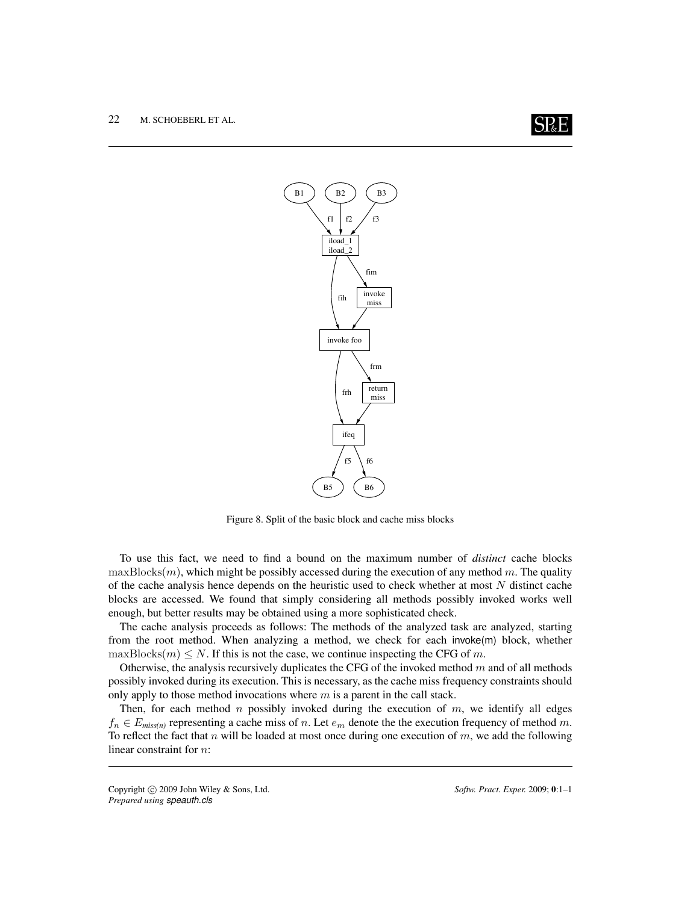



<span id="page-21-0"></span>Figure 8. Split of the basic block and cache miss blocks

To use this fact, we need to find a bound on the maximum number of *distinct* cache blocks  $maxBlocks(m)$ , which might be possibly accessed during the execution of any method m. The quality of the cache analysis hence depends on the heuristic used to check whether at most  $N$  distinct cache blocks are accessed. We found that simply considering all methods possibly invoked works well enough, but better results may be obtained using a more sophisticated check.

The cache analysis proceeds as follows: The methods of the analyzed task are analyzed, starting from the root method. When analyzing a method, we check for each invoke(m) block, whether  $\max \text{Blocks}(m) \leq N$ . If this is not the case, we continue inspecting the CFG of m.

Otherwise, the analysis recursively duplicates the CFG of the invoked method  $m$  and of all methods possibly invoked during its execution. This is necessary, as the cache miss frequency constraints should only apply to those method invocations where  $m$  is a parent in the call stack.

Then, for each method n possibly invoked during the execution of  $m$ , we identify all edges  $f_n \in E_{\text{miss}(n)}$  representing a cache miss of n. Let  $e_m$  denote the the execution frequency of method m. To reflect the fact that n will be loaded at most once during one execution of  $m$ , we add the following linear constraint for *n*: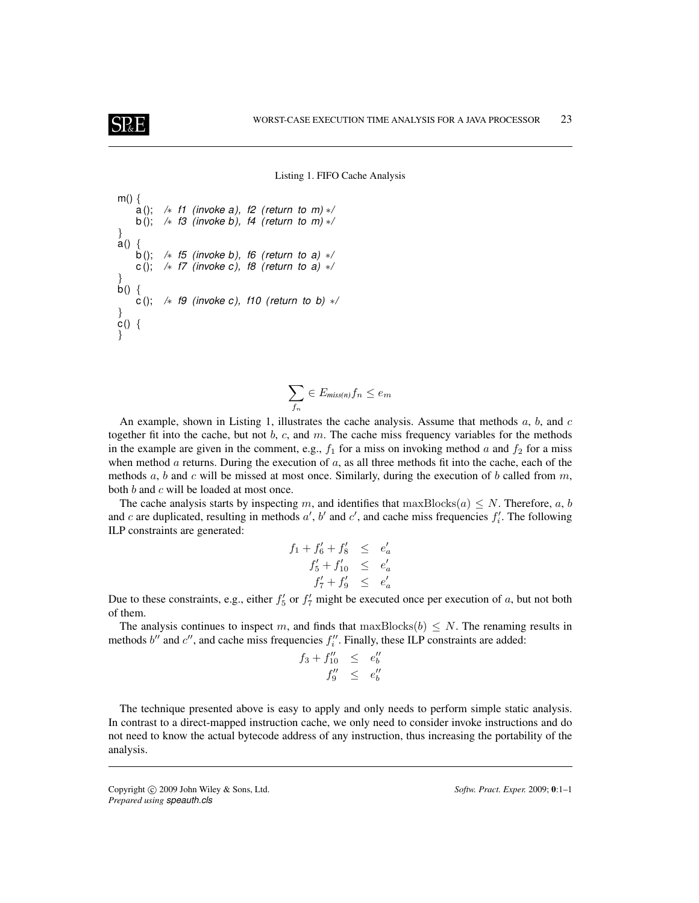#### Listing 1. FIFO Cache Analysis

```
m() {
    a (); /∗ f1 (invoke a ), f2 ( return to m) ∗/
    b (); /∗ f3 (invoke b ), f4 ( return to m) ∗/
}
a() {
     b (); /∗ f5 (invoke b ), f6 ( return to a) ∗/
     c (); /∗ f7 (invoke c ), f8 ( return to a) ∗/
}
b() {
    c (); /∗ f9 (invoke c ), f10 ( return to b) ∗/
}
\overline{c}() {
}
```

$$
\sum_{f_n} \in E_{\text{miss}(n)} f_n \le e_m
$$

An example, shown in Listing [1,](#page-22-0) illustrates the cache analysis. Assume that methods  $a, b$ , and  $c$ together fit into the cache, but not  $b, c,$  and  $m$ . The cache miss frequency variables for the methods in the example are given in the comment, e.g.,  $f_1$  for a miss on invoking method a and  $f_2$  for a miss when method  $a$  returns. During the execution of  $a$ , as all three methods fit into the cache, each of the methods  $a, b$  and  $c$  will be missed at most once. Similarly, during the execution of  $b$  called from  $m$ , both  $b$  and  $c$  will be loaded at most once.

The cache analysis starts by inspecting m, and identifies that maxBlocks(a)  $\leq N$ . Therefore, a, b and c are duplicated, resulting in methods  $a'$ ,  $b'$  and  $c'$ , and cache miss frequencies  $f'_i$ . The following ILP constraints are generated:

$$
f_1 + f'_6 + f'_8 \le e'_a
$$
  

$$
f'_5 + f'_{10} \le e'_a
$$
  

$$
f'_7 + f'_9 \le e'_a
$$

Due to these constraints, e.g., either  $f'_5$  or  $f'_7$  might be executed once per execution of a, but not both of them.

The analysis continues to inspect m, and finds that maxBlocks $(b) \leq N$ . The renaming results in methods  $b''$  and  $c''$ , and cache miss frequencies  $f''_i$ . Finally, these ILP constraints are added:

$$
f_3 + f_{10}'' \leq e_b''
$$
  

$$
f_9'' \leq e_b''
$$

The technique presented above is easy to apply and only needs to perform simple static analysis. In contrast to a direct-mapped instruction cache, we only need to consider invoke instructions and do not need to know the actual bytecode address of any instruction, thus increasing the portability of the analysis.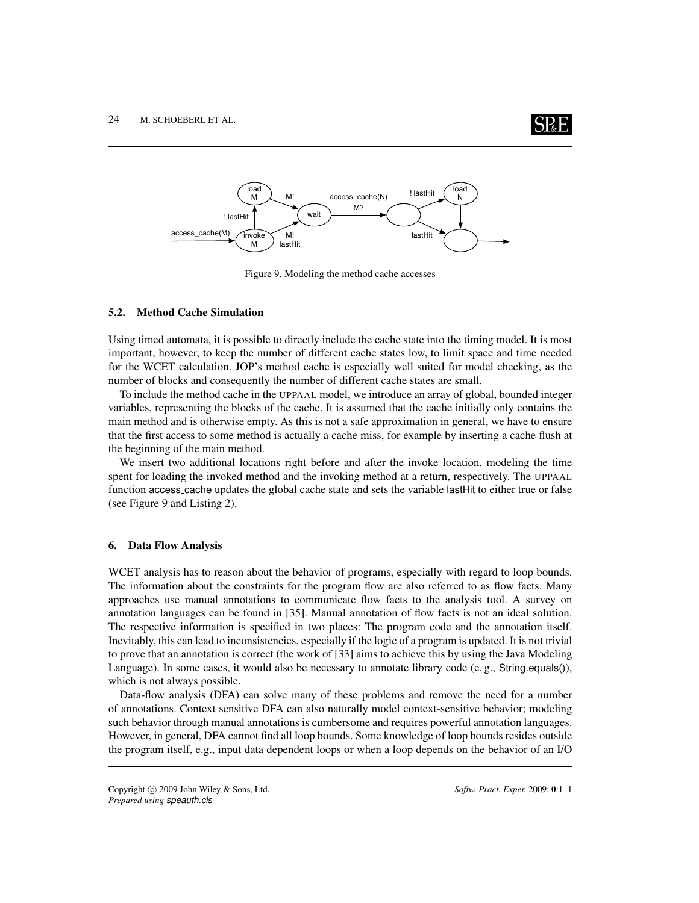



<span id="page-23-1"></span>Figure 9. Modeling the method cache accesses

## 5.2. Method Cache Simulation

Using timed automata, it is possible to directly include the cache state into the timing model. It is most important, however, to keep the number of different cache states low, to limit space and time needed for the WCET calculation. JOP's method cache is especially well suited for model checking, as the number of blocks and consequently the number of different cache states are small.

To include the method cache in the UPPAAL model, we introduce an array of global, bounded integer variables, representing the blocks of the cache. It is assumed that the cache initially only contains the main method and is otherwise empty. As this is not a safe approximation in general, we have to ensure that the first access to some method is actually a cache miss, for example by inserting a cache flush at the beginning of the main method.

We insert two additional locations right before and after the invoke location, modeling the time spent for loading the invoked method and the invoking method at a return, respectively. The UPPAAL function access cache updates the global cache state and sets the variable last Hit to either true or false (see Figure [9](#page-23-1) and Listing [2\)](#page-24-0).

## <span id="page-23-0"></span>6. Data Flow Analysis

WCET analysis has to reason about the behavior of programs, especially with regard to loop bounds. The information about the constraints for the program flow are also referred to as flow facts. Many approaches use manual annotations to communicate flow facts to the analysis tool. A survey on annotation languages can be found in [\[35\]](#page-42-21). Manual annotation of flow facts is not an ideal solution. The respective information is specified in two places: The program code and the annotation itself. Inevitably, this can lead to inconsistencies, especially if the logic of a program is updated. It is not trivial to prove that an annotation is correct (the work of [\[33\]](#page-42-22) aims to achieve this by using the Java Modeling Language). In some cases, it would also be necessary to annotate library code (e. g., String.equals()), which is not always possible.

Data-flow analysis (DFA) can solve many of these problems and remove the need for a number of annotations. Context sensitive DFA can also naturally model context-sensitive behavior; modeling such behavior through manual annotations is cumbersome and requires powerful annotation languages. However, in general, DFA cannot find all loop bounds. Some knowledge of loop bounds resides outside the program itself, e.g., input data dependent loops or when a loop depends on the behavior of an I/O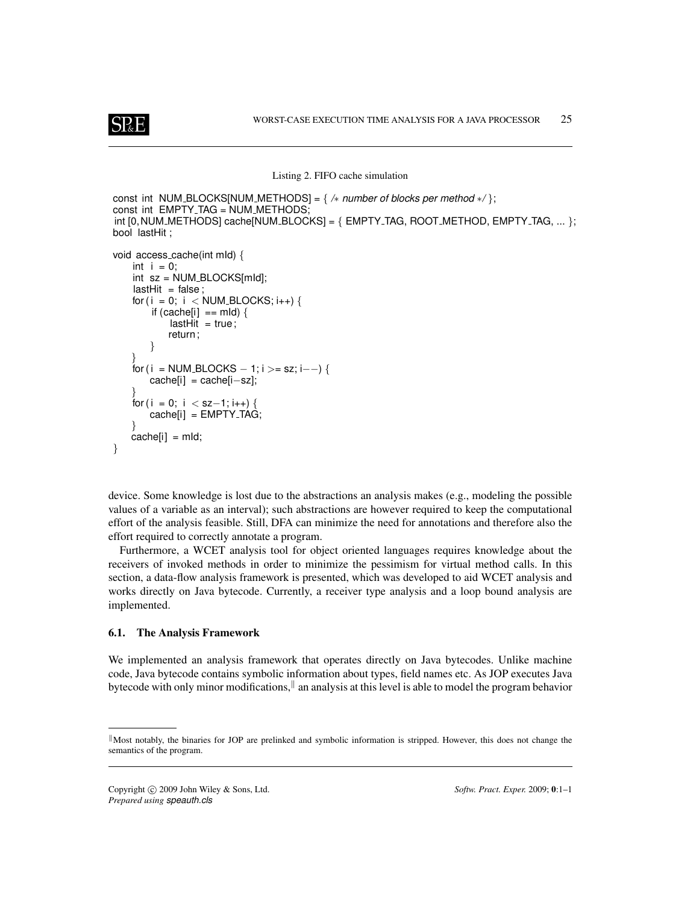Listing 2. FIFO cache simulation

```
const int NUM BLOCKS[NUM METHODS] = { /∗ number of blocks per method ∗/ };
const int EMPTY_TAG = NUM_METHODS;
int [0, NUM.METH ODS] cache[NUM.BLOCKS] = \{ EMPTY\_TAG, ROOT.METH OD, EMPTY\_TAG, ... \};bool lastHit ;
void access cache(int mId) {
    int i = 0;
    int sz = NUM_BLOCKS[mld];
    lastHit = false:
    for (i = 0; i < NUM_BLOCKS; i_{++}) {
        if (cache[i] == mld) {
           lastHit = true;return;
       }
    }
    for ( i = NUM\_BLOCKS - 1; i > = sz; i - )cache[i] = cache[i-sz];}
    for (i = 0; i < sz-1; i++) {
       cache[i] = EMPTY_TAG;}
```
device. Some knowledge is lost due to the abstractions an analysis makes (e.g., modeling the possible values of a variable as an interval); such abstractions are however required to keep the computational effort of the analysis feasible. Still, DFA can minimize the need for annotations and therefore also the effort required to correctly annotate a program.

Furthermore, a WCET analysis tool for object oriented languages requires knowledge about the receivers of invoked methods in order to minimize the pessimism for virtual method calls. In this section, a data-flow analysis framework is presented, which was developed to aid WCET analysis and works directly on Java bytecode. Currently, a receiver type analysis and a loop bound analysis are implemented.

## 6.1. The Analysis Framework

 $cache[i] = mId;$ 

}

We implemented an analysis framework that operates directly on Java bytecodes. Unlike machine code, Java bytecode contains symbolic information about types, field names etc. As JOP executes Java bytecode with only minor modifications,  $\parallel$  an analysis at this level is able to model the program behavior

<span id="page-24-1"></span>Most notably, the binaries for JOP are prelinked and symbolic information is stripped. However, this does not change the semantics of the program.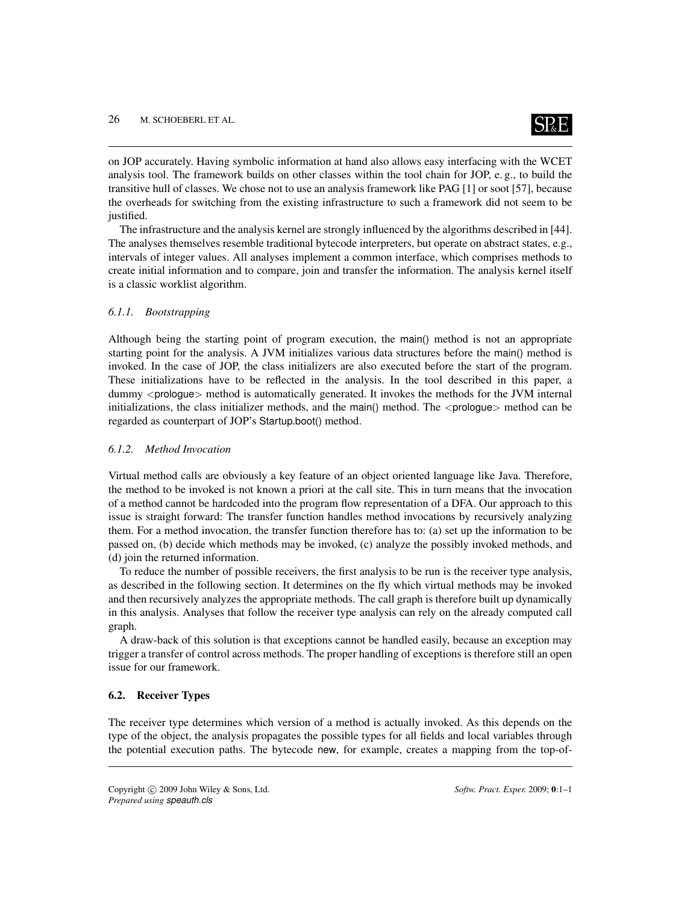

on JOP accurately. Having symbolic information at hand also allows easy interfacing with the WCET analysis tool. The framework builds on other classes within the tool chain for JOP, e. g., to build the transitive hull of classes. We chose not to use an analysis framework like PAG [\[1\]](#page-41-15) or soot [\[57\]](#page-43-21), because the overheads for switching from the existing infrastructure to such a framework did not seem to be justified.

The infrastructure and the analysis kernel are strongly influenced by the algorithms described in [\[44\]](#page-43-22). The analyses themselves resemble traditional bytecode interpreters, but operate on abstract states, e.g., intervals of integer values. All analyses implement a common interface, which comprises methods to create initial information and to compare, join and transfer the information. The analysis kernel itself is a classic worklist algorithm.

## *6.1.1. Bootstrapping*

Although being the starting point of program execution, the main() method is not an appropriate starting point for the analysis. A JVM initializes various data structures before the main() method is invoked. In the case of JOP, the class initializers are also executed before the start of the program. These initializations have to be reflected in the analysis. In the tool described in this paper, a dummy <prologue> method is automatically generated. It invokes the methods for the JVM internal initializations, the class initializer methods, and the main() method. The <prologue> method can be regarded as counterpart of JOP's Startup.boot() method.

## *6.1.2. Method Invocation*

Virtual method calls are obviously a key feature of an object oriented language like Java. Therefore, the method to be invoked is not known a priori at the call site. This in turn means that the invocation of a method cannot be hardcoded into the program flow representation of a DFA. Our approach to this issue is straight forward: The transfer function handles method invocations by recursively analyzing them. For a method invocation, the transfer function therefore has to: (a) set up the information to be passed on, (b) decide which methods may be invoked, (c) analyze the possibly invoked methods, and (d) join the returned information.

To reduce the number of possible receivers, the first analysis to be run is the receiver type analysis, as described in the following section. It determines on the fly which virtual methods may be invoked and then recursively analyzes the appropriate methods. The call graph is therefore built up dynamically in this analysis. Analyses that follow the receiver type analysis can rely on the already computed call graph.

A draw-back of this solution is that exceptions cannot be handled easily, because an exception may trigger a transfer of control across methods. The proper handling of exceptions is therefore still an open issue for our framework.

## 6.2. Receiver Types

The receiver type determines which version of a method is actually invoked. As this depends on the type of the object, the analysis propagates the possible types for all fields and local variables through the potential execution paths. The bytecode new, for example, creates a mapping from the top-of-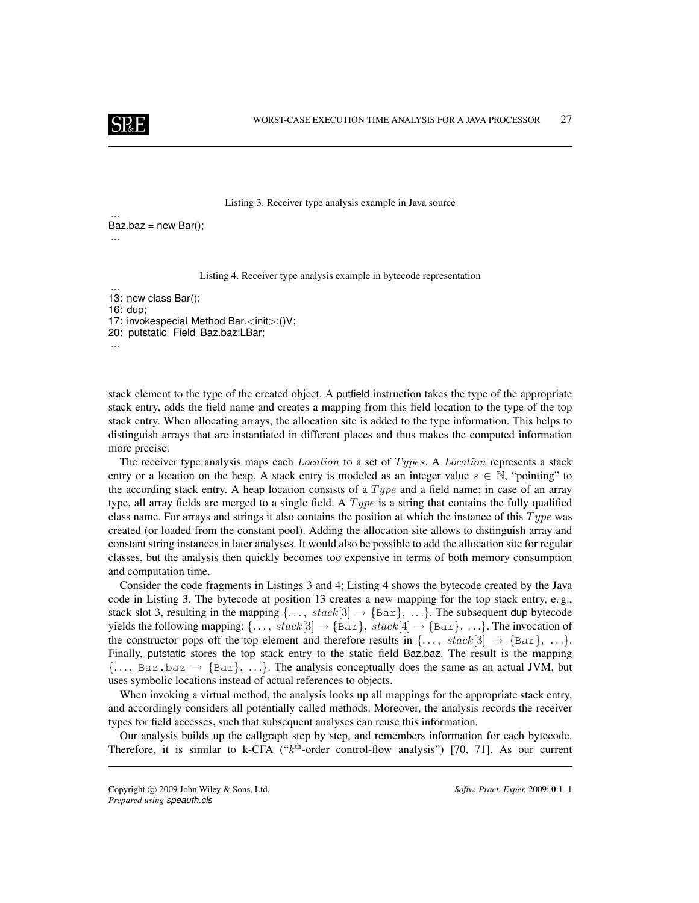#### Listing 3. Receiver type analysis example in Java source

#### <span id="page-26-0"></span>...  $Baz.baz = new Bar($ ; ...

Listing 4. Receiver type analysis example in bytecode representation

<span id="page-26-1"></span>... 13: new class Bar(); 16: dup; 17: invokespecial Method Bar.<init>:()V; 20: putstatic Field Baz.baz:LBar; ...

stack element to the type of the created object. A putfield instruction takes the type of the appropriate stack entry, adds the field name and creates a mapping from this field location to the type of the top stack entry. When allocating arrays, the allocation site is added to the type information. This helps to distinguish arrays that are instantiated in different places and thus makes the computed information more precise.

The receiver type analysis maps each *Location* to a set of *Types.* A *Location* represents a stack entry or a location on the heap. A stack entry is modeled as an integer value  $s \in \mathbb{N}$ , "pointing" to the according stack entry. A heap location consists of a  $Type$  and a field name; in case of an array type, all array fields are merged to a single field. A  $Type$  is a string that contains the fully qualified class name. For arrays and strings it also contains the position at which the instance of this  $Type$  was created (or loaded from the constant pool). Adding the allocation site allows to distinguish array and constant string instances in later analyses. It would also be possible to add the allocation site for regular classes, but the analysis then quickly becomes too expensive in terms of both memory consumption and computation time.

Consider the code fragments in Listings [3](#page-26-0) and [4;](#page-26-1) Listing [4](#page-26-1) shows the bytecode created by the Java code in Listing [3.](#page-26-0) The bytecode at position 13 creates a new mapping for the top stack entry, e.g., stack slot 3, resulting in the mapping  $\{\ldots, stack[3] \rightarrow \{Bar\}, \ldots\}$ . The subsequent dup bytecode yields the following mapping: {...,  $stack[3] \rightarrow \{Bar\}$ ,  $stack[4] \rightarrow \{Bar\}$ , ...}. The invocation of the constructor pops off the top element and therefore results in  $\{\ldots, stack[3] \rightarrow \{Bar\}, \ldots\}$ . Finally, putstatic stores the top stack entry to the static field Baz.baz. The result is the mapping  $\{\ldots, \text{ Baz}, \text{baz} \rightarrow \{\text{Bar}\}, \ldots\}$ . The analysis conceptually does the same as an actual JVM, but uses symbolic locations instead of actual references to objects.

When invoking a virtual method, the analysis looks up all mappings for the appropriate stack entry, and accordingly considers all potentially called methods. Moreover, the analysis records the receiver types for field accesses, such that subsequent analyses can reuse this information.

Our analysis builds up the callgraph step by step, and remembers information for each bytecode. Therefore, it is similar to k-CFA (" $k$ <sup>th</sup>-order control-flow analysis") [\[70,](#page-44-6) [71\]](#page-44-7). As our current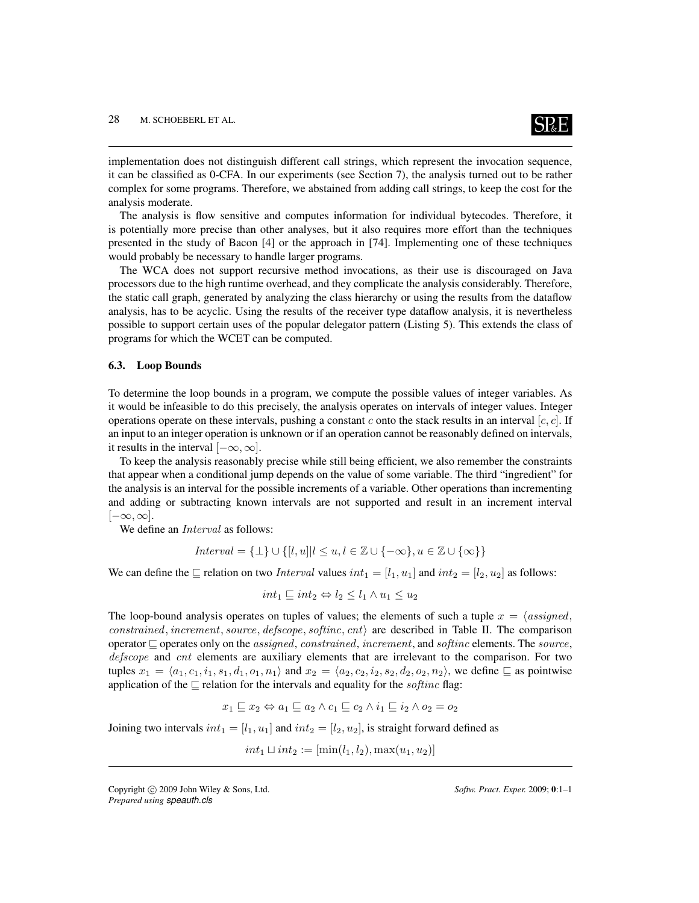

implementation does not distinguish different call strings, which represent the invocation sequence, it can be classified as 0-CFA. In our experiments (see Section [7\)](#page-30-0), the analysis turned out to be rather complex for some programs. Therefore, we abstained from adding call strings, to keep the cost for the analysis moderate.

The analysis is flow sensitive and computes information for individual bytecodes. Therefore, it is potentially more precise than other analyses, but it also requires more effort than the techniques presented in the study of Bacon [\[4\]](#page-41-6) or the approach in [\[74\]](#page-44-8). Implementing one of these techniques would probably be necessary to handle larger programs.

The WCA does not support recursive method invocations, as their use is discouraged on Java processors due to the high runtime overhead, and they complicate the analysis considerably. Therefore, the static call graph, generated by analyzing the class hierarchy or using the results from the dataflow analysis, has to be acyclic. Using the results of the receiver type dataflow analysis, it is nevertheless possible to support certain uses of the popular delegator pattern (Listing [5\)](#page-28-0). This extends the class of programs for which the WCET can be computed.

#### 6.3. Loop Bounds

To determine the loop bounds in a program, we compute the possible values of integer variables. As it would be infeasible to do this precisely, the analysis operates on intervals of integer values. Integer operations operate on these intervals, pushing a constant c onto the stack results in an interval  $[c, c]$ . If an input to an integer operation is unknown or if an operation cannot be reasonably defined on intervals, it results in the interval  $[-\infty, \infty]$ .

To keep the analysis reasonably precise while still being efficient, we also remember the constraints that appear when a conditional jump depends on the value of some variable. The third "ingredient" for the analysis is an interval for the possible increments of a variable. Other operations than incrementing and adding or subtracting known intervals are not supported and result in an increment interval  $[-\infty,\infty].$ 

We define an *Interval* as follows:

$$
Interval = \{\bot\} \cup \{[l, u]| l \le u, l \in \mathbb{Z} \cup \{-\infty\}, u \in \mathbb{Z} \cup \{\infty\}\}\
$$

We can define the  $\sqsubseteq$  relation on two *Interval* values  $int_1 = [l_1, u_1]$  and  $int_2 = [l_2, u_2]$  as follows:

 $int_1 \sqsubseteq int_2 \Leftrightarrow l_2 \leq l_1 \wedge u_1 \leq u_2$ 

The loop-bound analysis operates on tuples of values; the elements of such a tuple  $x = \langle assigned,$ constrained, increment, source, defscope, softinc, cnt $\rangle$  are described in Table [II.](#page-29-0) The comparison operator  $\Box$  operates only on the *assigned, constrained, increment,* and *softinc* elements. The *source*, defscope and cnt elements are auxiliary elements that are irrelevant to the comparison. For two tuples  $x_1 = \langle a_1, c_1, i_1, s_1, d_1, o_1, n_1 \rangle$  and  $x_2 = \langle a_2, c_2, i_2, s_2, d_2, o_2, n_2 \rangle$ , we define  $\sqsubseteq$  as pointwise application of the  $\sqsubseteq$  relation for the intervals and equality for the *softinc* flag:

$$
x_1 \sqsubseteq x_2 \Leftrightarrow a_1 \sqsubseteq a_2 \land c_1 \sqsubseteq c_2 \land i_1 \sqsubseteq i_2 \land o_2 = o_2
$$

Joining two intervals  $int_1 = [l_1, u_1]$  and  $int_2 = [l_2, u_2]$ , is straight forward defined as

$$
int_1 \sqcup int_2 := [\min(l_1, l_2), \max(u_1, u_2)]
$$

Copyright c 2009 John Wiley & Sons, Ltd. *Softw. Pract. Exper.* 2009; 0:1–1 *Prepared using speauth.cls*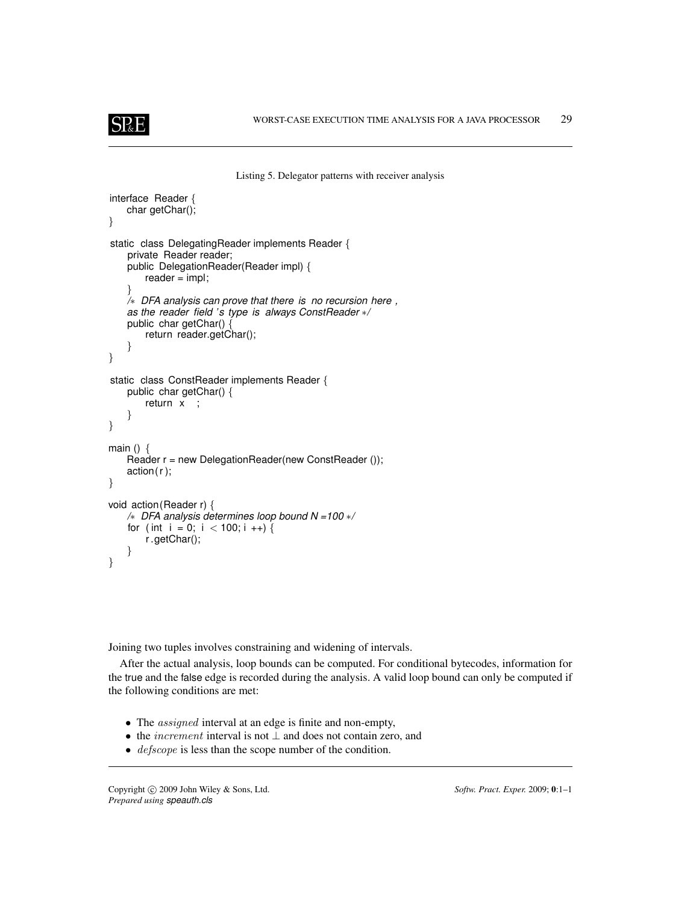

Listing 5. Delegator patterns with receiver analysis

```
interface Reader {
    char getChar();
}
static class DelegatingReader implements Reader {
    private Reader reader;
    public DelegationReader(Reader impl) {
       reader = impl;}
    /∗ DFA analysis can prove that there is no recursion here ,
    as the reader field ' s type is always ConstReader ∗/
    public char getChar() {
       return reader.getChar();
    }
}
static class ConstReader implements Reader {
    public char getChar() {
       return x :
    }
}
main () \{Reader r = new DelegationReader(new ConstReader ());
    action(r);}
void action(Reader r) {
    /∗ DFA analysis determines loop bound N =100 ∗/
    for (int i = 0; i < 100; i ++) {
       r .getChar();
    }
}
```
Joining two tuples involves constraining and widening of intervals.

After the actual analysis, loop bounds can be computed. For conditional bytecodes, information for the true and the false edge is recorded during the analysis. A valid loop bound can only be computed if the following conditions are met:

- The *assigned* interval at an edge is finite and non-empty,
- the increment interval is not ⊥ and does not contain zero, and
- *defscope* is less than the scope number of the condition.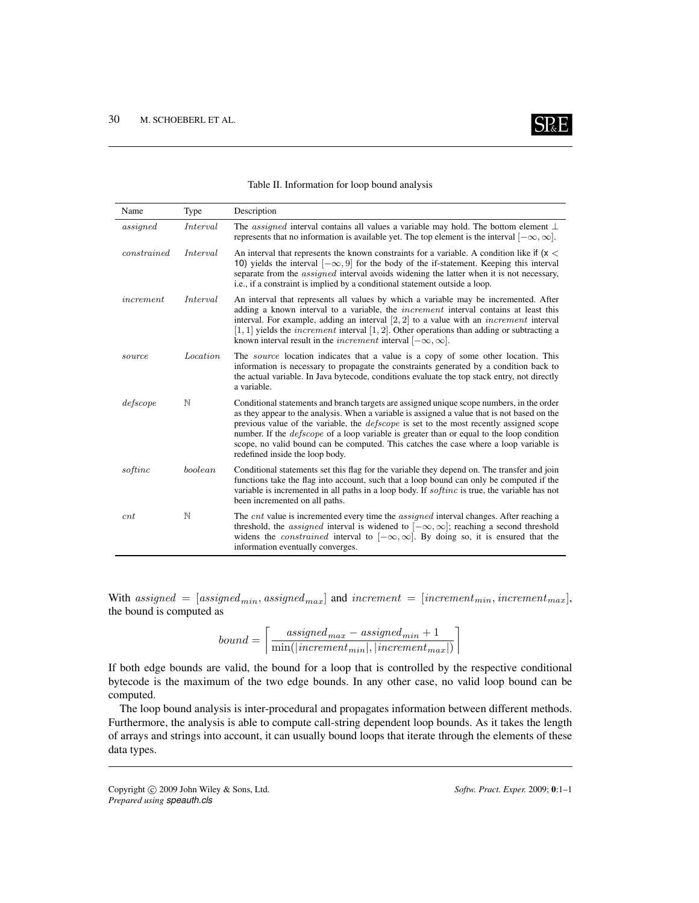

<span id="page-29-0"></span>Table II. Information for loop bound analysis

| Name         | Type        | Description                                                                                                                                                                                                                                                                                                                                                                                                                                                                                                                 |
|--------------|-------------|-----------------------------------------------------------------------------------------------------------------------------------------------------------------------------------------------------------------------------------------------------------------------------------------------------------------------------------------------------------------------------------------------------------------------------------------------------------------------------------------------------------------------------|
| assigned     | Interval    | The <i>assigned</i> interval contains all values a variable may hold. The bottom element $\perp$<br>represents that no information is available yet. The top element is the interval $[-\infty, \infty]$ .                                                                                                                                                                                                                                                                                                                  |
| constructed  | Interval    | An interval that represents the known constraints for a variable. A condition like if $(x <$<br>10) yields the interval $[-\infty, 9]$ for the body of the if-statement. Keeping this interval<br>separate from the <i>assigned</i> interval avoids widening the latter when it is not necessary,<br>i.e., if a constraint is implied by a conditional statement outside a loop.                                                                                                                                            |
| increment    | Interval    | An interval that represents all values by which a variable may be incremented. After<br>adding a known interval to a variable, the <i>increment</i> interval contains at least this<br>interval. For example, adding an interval $[2, 2]$ to a value with an <i>increment</i> interval<br>$[1, 1]$ yields the <i>increment</i> interval $[1, 2]$ . Other operations than adding or subtracting a<br>known interval result in the <i>increment</i> interval $[-\infty, \infty]$ .                                            |
| $\it source$ | Location    | The <i>source</i> location indicates that a value is a copy of some other location. This<br>information is necessary to propagate the constraints generated by a condition back to<br>the actual variable. In Java bytecode, conditions evaluate the top stack entry, not directly<br>a variable.                                                                                                                                                                                                                           |
| defscope     | N           | Conditional statements and branch targets are assigned unique scope numbers, in the order<br>as they appear to the analysis. When a variable is assigned a value that is not based on the<br>previous value of the variable, the <i>defscope</i> is set to the most recently assigned scope<br>number. If the <i>defscope</i> of a loop variable is greater than or equal to the loop condition<br>scope, no valid bound can be computed. This catches the case where a loop variable is<br>redefined inside the loop body. |
| softinc      | boolean     | Conditional statements set this flag for the variable they depend on. The transfer and join<br>functions take the flag into account, such that a loop bound can only be computed if the<br>variable is incremented in all paths in a loop body. If <i>softinc</i> is true, the variable has not<br>been incremented on all paths.                                                                                                                                                                                           |
| $_{cnt}$     | $\mathbb N$ | The <i>cnt</i> value is incremented every time the <i>assigned</i> interval changes. After reaching a<br>threshold, the <i>assigned</i> interval is widened to $[-\infty, \infty]$ ; reaching a second threshold<br>widens the <i>constrained</i> interval to $[-\infty, \infty]$ . By doing so, it is ensured that the<br>information eventually converges.                                                                                                                                                                |

With assigned =  $[assigned_{min}, assigned_{max}]$  and  $increment = [increment_{min}, increment_{max}]$ , the bound is computed as

$$
bound = \left\lceil \frac{assigned_{max} - assigned_{min} + 1}{\min(|increment_{min}|, |increment_{max}|)} \right\rceil
$$

If both edge bounds are valid, the bound for a loop that is controlled by the respective conditional bytecode is the maximum of the two edge bounds. In any other case, no valid loop bound can be computed.

The loop bound analysis is inter-procedural and propagates information between different methods. Furthermore, the analysis is able to compute call-string dependent loop bounds. As it takes the length of arrays and strings into account, it can usually bound loops that iterate through the elements of these data types.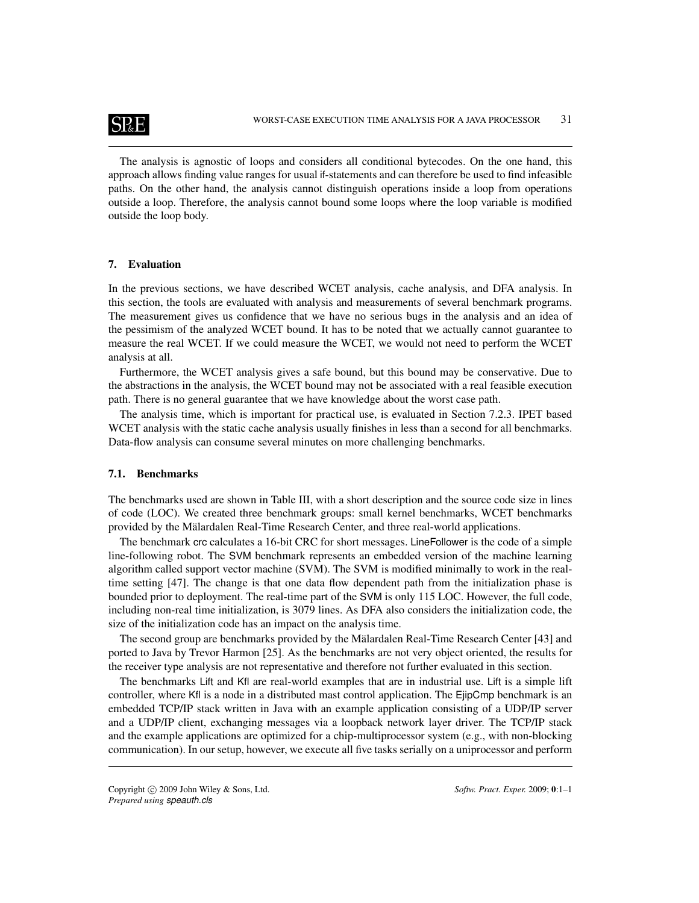# $SRE$

The analysis is agnostic of loops and considers all conditional bytecodes. On the one hand, this approach allows finding value ranges for usual if-statements and can therefore be used to find infeasible paths. On the other hand, the analysis cannot distinguish operations inside a loop from operations outside a loop. Therefore, the analysis cannot bound some loops where the loop variable is modified outside the loop body.

## <span id="page-30-0"></span>7. Evaluation

In the previous sections, we have described WCET analysis, cache analysis, and DFA analysis. In this section, the tools are evaluated with analysis and measurements of several benchmark programs. The measurement gives us confidence that we have no serious bugs in the analysis and an idea of the pessimism of the analyzed WCET bound. It has to be noted that we actually cannot guarantee to measure the real WCET. If we could measure the WCET, we would not need to perform the WCET analysis at all.

Furthermore, the WCET analysis gives a safe bound, but this bound may be conservative. Due to the abstractions in the analysis, the WCET bound may not be associated with a real feasible execution path. There is no general guarantee that we have knowledge about the worst case path.

The analysis time, which is important for practical use, is evaluated in Section [7.2.3.](#page-34-0) IPET based WCET analysis with the static cache analysis usually finishes in less than a second for all benchmarks. Data-flow analysis can consume several minutes on more challenging benchmarks.

## 7.1. Benchmarks

The benchmarks used are shown in Table [III,](#page-31-0) with a short description and the source code size in lines of code (LOC). We created three benchmark groups: small kernel benchmarks, WCET benchmarks provided by the Mälardalen Real-Time Research Center, and three real-world applications.

The benchmark crc calculates a 16-bit CRC for short messages. LineFollower is the code of a simple line-following robot. The SVM benchmark represents an embedded version of the machine learning algorithm called support vector machine (SVM). The SVM is modified minimally to work in the realtime setting [\[47\]](#page-43-23). The change is that one data flow dependent path from the initialization phase is bounded prior to deployment. The real-time part of the SVM is only 115 LOC. However, the full code, including non-real time initialization, is 3079 lines. As DFA also considers the initialization code, the size of the initialization code has an impact on the analysis time.

The second group are benchmarks provided by the Mälardalen Real-Time Research Center [[43\]](#page-43-4) and ported to Java by Trevor Harmon [\[25\]](#page-42-1). As the benchmarks are not very object oriented, the results for the receiver type analysis are not representative and therefore not further evaluated in this section.

The benchmarks Lift and Kfl are real-world examples that are in industrial use. Lift is a simple lift controller, where Kfl is a node in a distributed mast control application. The EjipCmp benchmark is an embedded TCP/IP stack written in Java with an example application consisting of a UDP/IP server and a UDP/IP client, exchanging messages via a loopback network layer driver. The TCP/IP stack and the example applications are optimized for a chip-multiprocessor system (e.g., with non-blocking communication). In our setup, however, we execute all five tasks serially on a uniprocessor and perform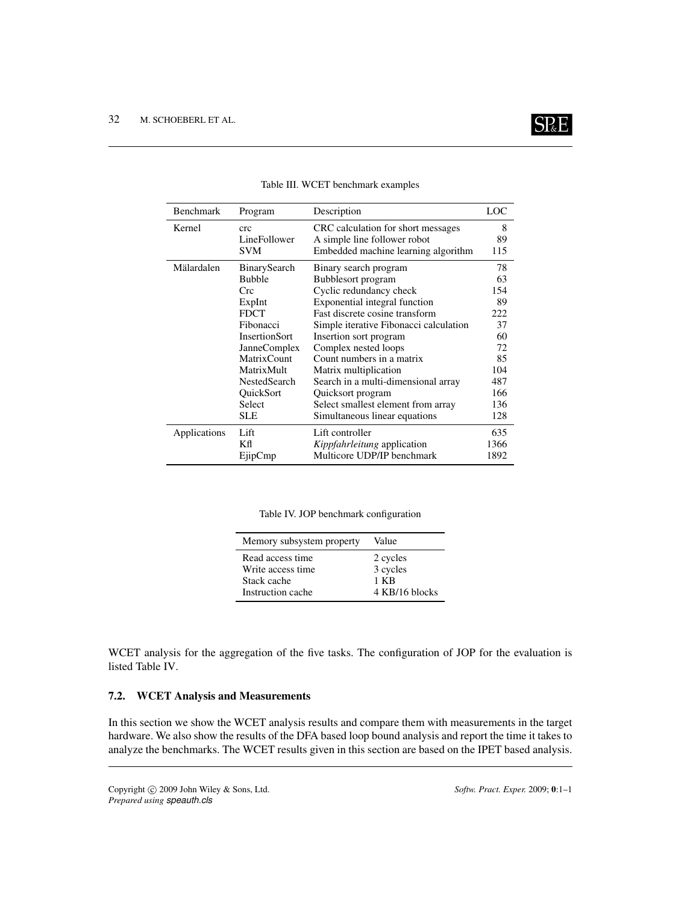

| Benchmark    | Program             | Description                            | LOC  |
|--------------|---------------------|----------------------------------------|------|
| Kernel       | crc                 | CRC calculation for short messages     | 8    |
|              | LineFollower        | A simple line follower robot           | 89   |
|              | <b>SVM</b>          | Embedded machine learning algorithm    | 115  |
| Mälardalen   | <b>BinarySearch</b> | Binary search program                  | 78   |
|              | <b>Bubble</b>       | Bubblesort program                     | 63   |
|              | Crc                 | Cyclic redundancy check                | 154  |
|              | ExpInt              | Exponential integral function          | 89   |
|              | <b>FDCT</b>         | Fast discrete cosine transform         | 222  |
|              | Fibonacci           | Simple iterative Fibonacci calculation | 37   |
|              | InsertionSort       | Insertion sort program                 | 60   |
|              | <b>JanneComplex</b> | Complex nested loops                   | 72   |
|              | <b>MatrixCount</b>  | Count numbers in a matrix              | 85   |
|              | MatrixMult          | Matrix multiplication                  | 104  |
|              | NestedSearch        | Search in a multi-dimensional array    | 487  |
|              | QuickSort           | Quicksort program                      | 166  |
|              | Select              | Select smallest element from array     | 136  |
|              | SLE                 | Simultaneous linear equations          | 128  |
| Applications | Lift                | Lift controller                        | 635  |
|              | Кfl                 | <i>Kippfahrleitung</i> application     | 1366 |
|              | EjipCmp             | Multicore UDP/IP benchmark             | 1892 |

## <span id="page-31-0"></span>Table III. WCET benchmark examples

<span id="page-31-1"></span>Table IV. JOP benchmark configuration

| Memory subsystem property | Value          |
|---------------------------|----------------|
| Read access time          | 2 cycles       |
| Write access time         | 3 cycles       |
| Stack cache               | 1 KR           |
| Instruction cache         | 4 KB/16 blocks |

WCET analysis for the aggregation of the five tasks. The configuration of JOP for the evaluation is listed Table [IV.](#page-31-1)

## 7.2. WCET Analysis and Measurements

In this section we show the WCET analysis results and compare them with measurements in the target hardware. We also show the results of the DFA based loop bound analysis and report the time it takes to analyze the benchmarks. The WCET results given in this section are based on the IPET based analysis.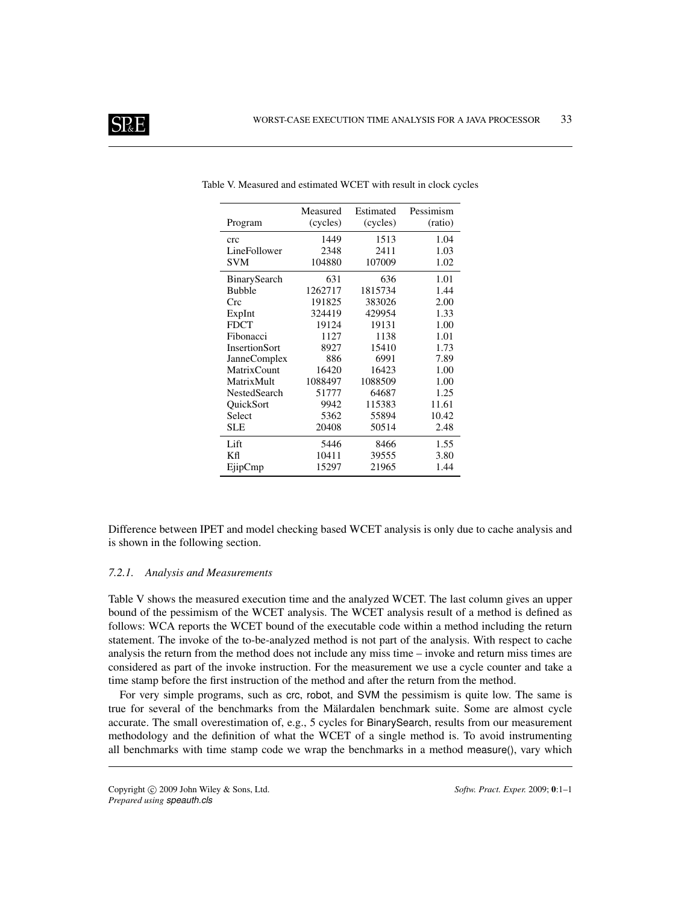<span id="page-32-0"></span>

| Program              | Measured<br>(cycles) | Estimated<br>(cycles) | Pessimism<br>(ratio) |
|----------------------|----------------------|-----------------------|----------------------|
| crc                  | 1449                 | 1513                  | 1.04                 |
| LineFollower         | 2348                 | 2411                  | 1.03                 |
| <b>SVM</b>           | 104880               | 107009                | 1.02                 |
| BinarySearch         | 631                  | 636                   | 1.01                 |
| <b>Bubble</b>        | 1262717              | 1815734               | 1.44                 |
| Crc                  | 191825               | 383026                | 2.00                 |
| ExpInt               | 324419               | 429954                | 1.33                 |
| <b>FDCT</b>          | 19124                | 19131                 | 1.00                 |
| Fibonacci            | 1127                 | 1138                  | 1.01                 |
| <b>InsertionSort</b> | 8927                 | 15410                 | 1.73                 |
| <b>JanneComplex</b>  | 886                  | 6991                  | 7.89                 |
| MatrixCount          | 16420                | 16423                 | 1.00                 |
| MatrixMult           | 1088497              | 1088509               | 1.00                 |
| NestedSearch         | 51777                | 64687                 | 1.25                 |
| QuickSort            | 9942                 | 115383                | 11.61                |
| Select               | 5362                 | 55894                 | 10.42                |
| <b>SLE</b>           | 20408                | 50514                 | 2.48                 |
| Lift                 | 5446                 | 8466                  | 1.55                 |
| Кfl                  | 10411                | 39555                 | 3.80                 |
| EjipCmp              | 15297                | 21965                 | 1.44                 |

Table V. Measured and estimated WCET with result in clock cycles

Difference between IPET and model checking based WCET analysis is only due to cache analysis and is shown in the following section.

## *7.2.1. Analysis and Measurements*

Table [V](#page-32-0) shows the measured execution time and the analyzed WCET. The last column gives an upper bound of the pessimism of the WCET analysis. The WCET analysis result of a method is defined as follows: WCA reports the WCET bound of the executable code within a method including the return statement. The invoke of the to-be-analyzed method is not part of the analysis. With respect to cache analysis the return from the method does not include any miss time – invoke and return miss times are considered as part of the invoke instruction. For the measurement we use a cycle counter and take a time stamp before the first instruction of the method and after the return from the method.

For very simple programs, such as crc, robot, and SVM the pessimism is quite low. The same is true for several of the benchmarks from the Mälardalen benchmark suite. Some are almost cycle accurate. The small overestimation of, e.g., 5 cycles for BinarySearch, results from our measurement methodology and the definition of what the WCET of a single method is. To avoid instrumenting all benchmarks with time stamp code we wrap the benchmarks in a method measure(), vary which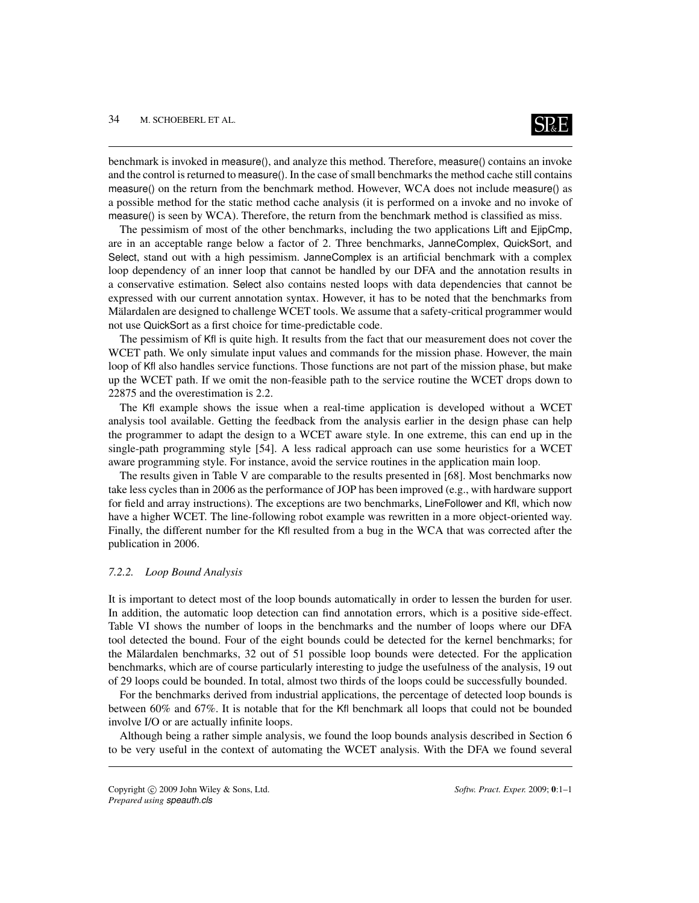

benchmark is invoked in measure(), and analyze this method. Therefore, measure() contains an invoke and the control is returned to measure(). In the case of small benchmarks the method cache still contains measure() on the return from the benchmark method. However, WCA does not include measure() as a possible method for the static method cache analysis (it is performed on a invoke and no invoke of measure() is seen by WCA). Therefore, the return from the benchmark method is classified as miss.

The pessimism of most of the other benchmarks, including the two applications Lift and EjipCmp, are in an acceptable range below a factor of 2. Three benchmarks, JanneComplex, QuickSort, and Select, stand out with a high pessimism. JanneComplex is an artificial benchmark with a complex loop dependency of an inner loop that cannot be handled by our DFA and the annotation results in a conservative estimation. Select also contains nested loops with data dependencies that cannot be expressed with our current annotation syntax. However, it has to be noted that the benchmarks from Mälardalen are designed to challenge WCET tools. We assume that a safety-critical programmer would not use QuickSort as a first choice for time-predictable code.

The pessimism of Kfl is quite high. It results from the fact that our measurement does not cover the WCET path. We only simulate input values and commands for the mission phase. However, the main loop of Kfl also handles service functions. Those functions are not part of the mission phase, but make up the WCET path. If we omit the non-feasible path to the service routine the WCET drops down to 22875 and the overestimation is 2.2.

The Kfl example shows the issue when a real-time application is developed without a WCET analysis tool available. Getting the feedback from the analysis earlier in the design phase can help the programmer to adapt the design to a WCET aware style. In one extreme, this can end up in the single-path programming style [\[54\]](#page-43-24). A less radical approach can use some heuristics for a WCET aware programming style. For instance, avoid the service routines in the application main loop.

The results given in Table [V](#page-32-0) are comparable to the results presented in [\[68\]](#page-43-3). Most benchmarks now take less cycles than in 2006 as the performance of JOP has been improved (e.g., with hardware support for field and array instructions). The exceptions are two benchmarks, LineFollower and Kfl, which now have a higher WCET. The line-following robot example was rewritten in a more object-oriented way. Finally, the different number for the Kfl resulted from a bug in the WCA that was corrected after the publication in 2006.

#### *7.2.2. Loop Bound Analysis*

It is important to detect most of the loop bounds automatically in order to lessen the burden for user. In addition, the automatic loop detection can find annotation errors, which is a positive side-effect. Table [VI](#page-34-1) shows the number of loops in the benchmarks and the number of loops where our DFA tool detected the bound. Four of the eight bounds could be detected for the kernel benchmarks; for the Mälardalen benchmarks, 32 out of 51 possible loop bounds were detected. For the application benchmarks, which are of course particularly interesting to judge the usefulness of the analysis, 19 out of 29 loops could be bounded. In total, almost two thirds of the loops could be successfully bounded.

For the benchmarks derived from industrial applications, the percentage of detected loop bounds is between 60% and 67%. It is notable that for the Kfl benchmark all loops that could not be bounded involve I/O or are actually infinite loops.

Although being a rather simple analysis, we found the loop bounds analysis described in Section [6](#page-23-0) to be very useful in the context of automating the WCET analysis. With the DFA we found several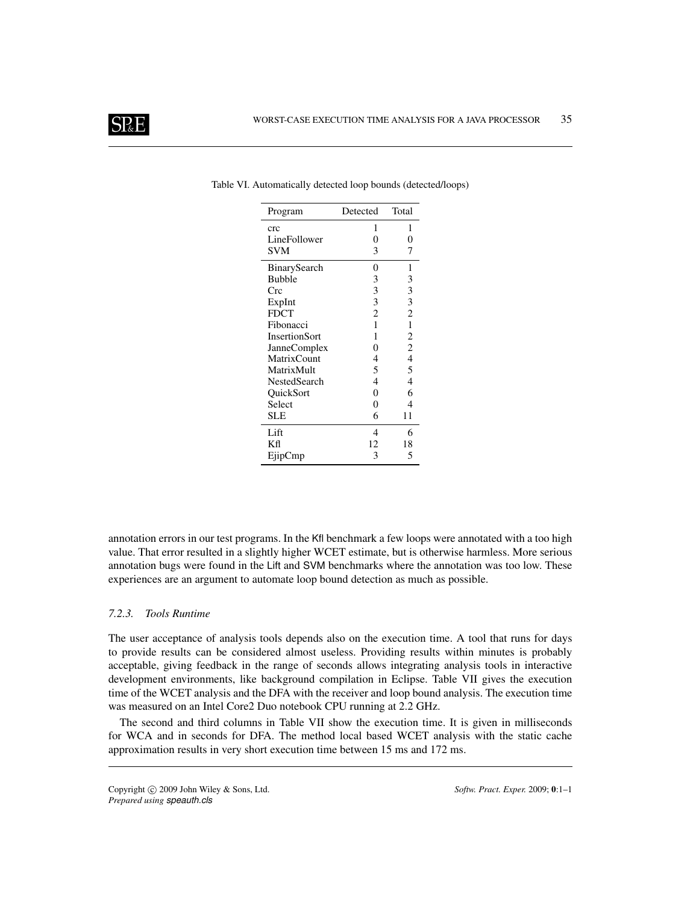<span id="page-34-1"></span>

| Program              | Detected       | Total          |
|----------------------|----------------|----------------|
| crc                  | 1              | 1              |
| LineFollower         | 0              | 0              |
| <b>SVM</b>           | 3              | 7              |
| BinarySearch         | 0              | 1              |
| <b>Bubble</b>        | 3              | 3              |
| Crc                  | 3              | 3              |
| ExpInt               | 3              | 3              |
| <b>FDCT</b>          | $\overline{2}$ | $\overline{2}$ |
| Fibonacci            | 1              | 1              |
| <b>InsertionSort</b> | 1              | $\overline{c}$ |
| <b>JanneComplex</b>  | 0              | $\overline{c}$ |
| <b>MatrixCount</b>   | 4              | $\overline{4}$ |
| MatrixMult           | 5              | 5              |
| NestedSearch         | 4              | 4              |
| QuickSort            | 0              | 6              |
| Select               | 0              | 4              |
| <b>SLE</b>           | 6              | 11             |
| Lift                 | 4              | 6              |
| Кfl                  | 12             | 18             |
| EjipCmp              | 3              | 5              |

Table VI. Automatically detected loop bounds (detected/loops)

annotation errors in our test programs. In the Kfl benchmark a few loops were annotated with a too high value. That error resulted in a slightly higher WCET estimate, but is otherwise harmless. More serious annotation bugs were found in the Lift and SVM benchmarks where the annotation was too low. These experiences are an argument to automate loop bound detection as much as possible.

## <span id="page-34-0"></span>*7.2.3. Tools Runtime*

The user acceptance of analysis tools depends also on the execution time. A tool that runs for days to provide results can be considered almost useless. Providing results within minutes is probably acceptable, giving feedback in the range of seconds allows integrating analysis tools in interactive development environments, like background compilation in Eclipse. Table [VII](#page-35-0) gives the execution time of the WCET analysis and the DFA with the receiver and loop bound analysis. The execution time was measured on an Intel Core2 Duo notebook CPU running at 2.2 GHz.

The second and third columns in Table [VII](#page-35-0) show the execution time. It is given in milliseconds for WCA and in seconds for DFA. The method local based WCET analysis with the static cache approximation results in very short execution time between 15 ms and 172 ms.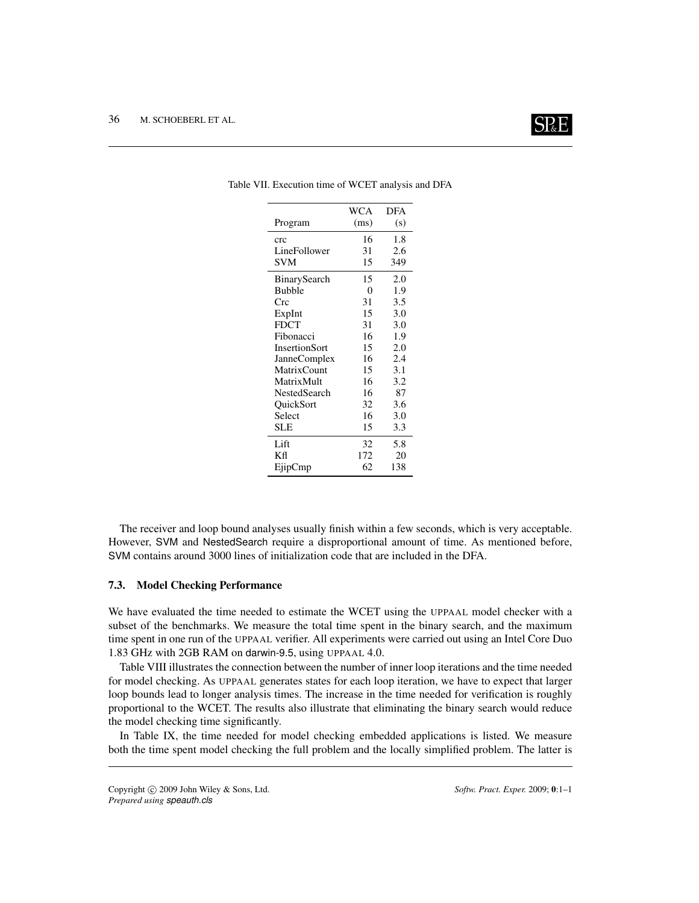

<span id="page-35-0"></span>

|                      | WCA  | DFA |
|----------------------|------|-----|
| Program              | (ms) | (s) |
| crc                  | 16   | 1.8 |
| LineFollower         | 31   | 2.6 |
| <b>SVM</b>           | 15   | 349 |
| BinarySearch         | 15   | 2.0 |
| <b>Bubble</b>        | 0    | 1.9 |
| Crc                  | 31   | 3.5 |
| ExpInt               | 15   | 3.0 |
| <b>FDCT</b>          | 31   | 3.0 |
| Fibonacci            | 16   | 1.9 |
| <b>InsertionSort</b> | 15   | 2.0 |
| <b>JanneComplex</b>  | 16   | 2.4 |
| <b>MatrixCount</b>   | 15   | 3.1 |
| MatrixMult           | 16   | 3.2 |
| NestedSearch         | 16   | 87  |
| <b>OuickSort</b>     | 32   | 3.6 |
| Select               | 16   | 3.0 |
| <b>SLE</b>           | 15   | 3.3 |
| Lift                 | 32   | 5.8 |
| Κfl                  | 172  | 20  |
| EjipCmp              | 62   | 138 |

Table VII. Execution time of WCET analysis and DFA

The receiver and loop bound analyses usually finish within a few seconds, which is very acceptable. However, SVM and NestedSearch require a disproportional amount of time. As mentioned before, SVM contains around 3000 lines of initialization code that are included in the DFA.

## 7.3. Model Checking Performance

We have evaluated the time needed to estimate the WCET using the UPPAAL model checker with a subset of the benchmarks. We measure the total time spent in the binary search, and the maximum time spent in one run of the UPPAAL verifier. All experiments were carried out using an Intel Core Duo 1.83 GHz with 2GB RAM on darwin-9.5, using UPPAAL 4.0.

Table [VIII](#page-36-0) illustrates the connection between the number of inner loop iterations and the time needed for model checking. As UPPAAL generates states for each loop iteration, we have to expect that larger loop bounds lead to longer analysis times. The increase in the time needed for verification is roughly proportional to the WCET. The results also illustrate that eliminating the binary search would reduce the model checking time significantly.

In Table [IX,](#page-36-1) the time needed for model checking embedded applications is listed. We measure both the time spent model checking the full problem and the locally simplified problem. The latter is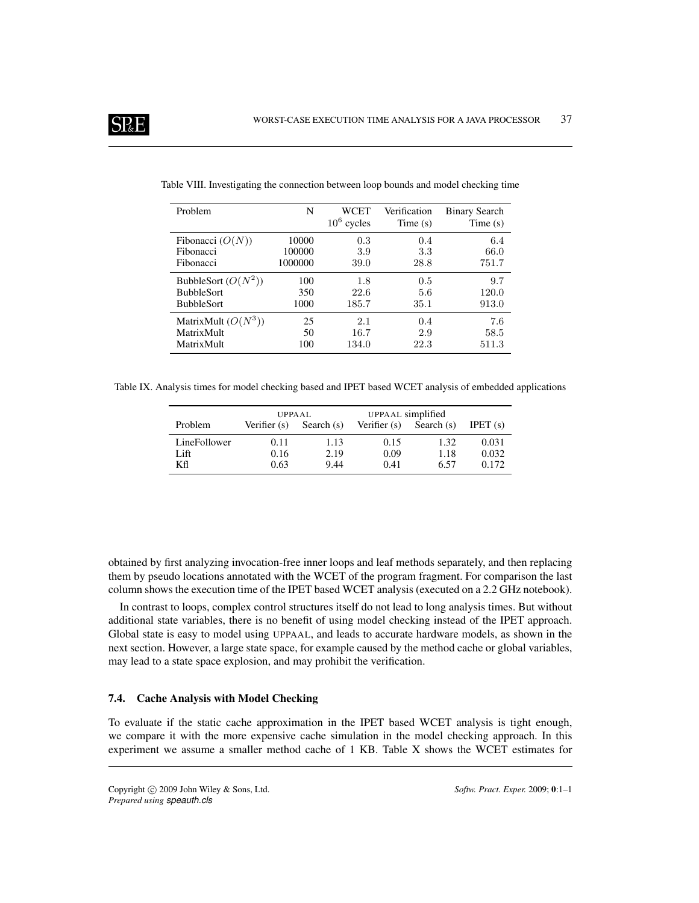<span id="page-36-0"></span>

| Problem               | N       | <b>WCET</b><br>$10^6$ cycles | Verification<br>Time(s) | <b>Binary Search</b><br>Time(s) |
|-----------------------|---------|------------------------------|-------------------------|---------------------------------|
| Fibonacci $(O(N))$    | 10000   | 0.3                          | 0.4                     | 6.4                             |
| Fibonacci             | 100000  | 3.9                          | 3.3                     | 66.0                            |
| Fibonacci             | 1000000 | 39.0                         | 28.8                    | 751.7                           |
| BubbleSort $(O(N^2))$ | 100     | 1.8                          | 0.5                     | 9.7                             |
| <b>BubbleSort</b>     | 350     | 22.6                         | 5.6                     | 120.0                           |
| <b>BubbleSort</b>     | 1000    | 185.7                        | 35.1                    | 913.0                           |
| MatrixMult $(O(N^3))$ | 25      | 2.1                          | 0.4                     | 7.6                             |
| MatrixMult            | 50      | 16.7                         | 2.9                     | 58.5                            |
| MatrixMult            | 100     | 134.0                        | 22.3                    | 511.3                           |

Table VIII. Investigating the connection between loop bounds and model checking time

Table IX. Analysis times for model checking based and IPET based WCET analysis of embedded applications

<span id="page-36-1"></span>

|              | <b>UPPAAL</b> |              | UPPAAL simplified |            |            |
|--------------|---------------|--------------|-------------------|------------|------------|
| Problem      | Verifier (s)  | Search $(s)$ | Verifier $(s)$    | Search (s) | IPET $(s)$ |
| LineFollower | 0.11          | 1.13         | 0.15              | 1.32       | 0.031      |
| Lift         | 0.16          | 2.19         | 0.09              | 1.18       | 0.032      |
| Кfl          | 0.63          | 9.44         | 0.41              | 6.57       | 0.172      |

obtained by first analyzing invocation-free inner loops and leaf methods separately, and then replacing them by pseudo locations annotated with the WCET of the program fragment. For comparison the last column shows the execution time of the IPET based WCET analysis (executed on a 2.2 GHz notebook).

In contrast to loops, complex control structures itself do not lead to long analysis times. But without additional state variables, there is no benefit of using model checking instead of the IPET approach. Global state is easy to model using UPPAAL, and leads to accurate hardware models, as shown in the next section. However, a large state space, for example caused by the method cache or global variables, may lead to a state space explosion, and may prohibit the verification.

## 7.4. Cache Analysis with Model Checking

To evaluate if the static cache approximation in the IPET based WCET analysis is tight enough, we compare it with the more expensive cache simulation in the model checking approach. In this experiment we assume a smaller method cache of 1 KB. Table [X](#page-37-1) shows the WCET estimates for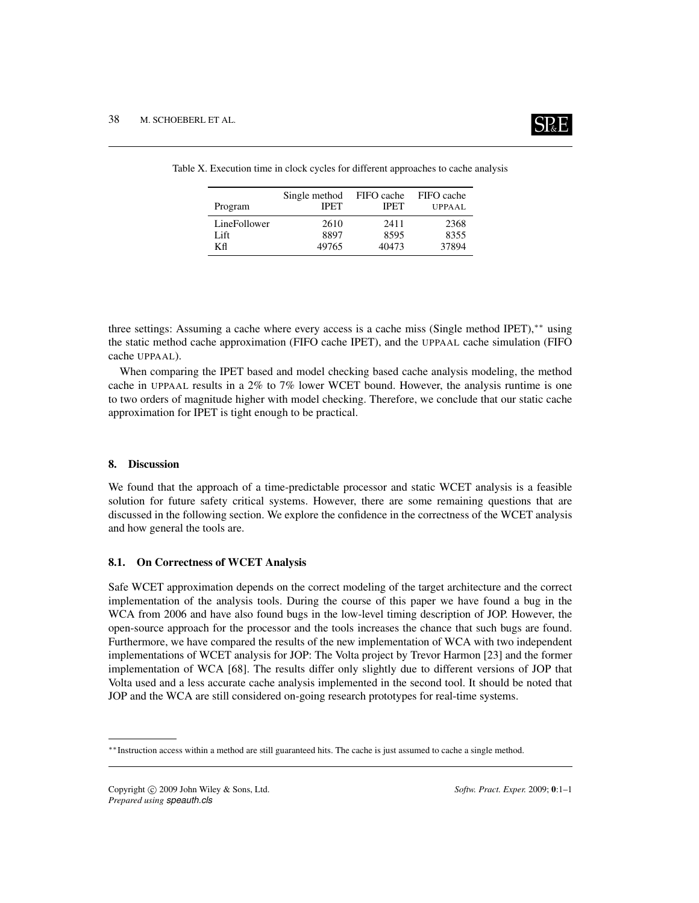

<span id="page-37-1"></span>

| Program      | Single method | FIFO cache  | FIFO cache    |
|--------------|---------------|-------------|---------------|
|              | <b>IPET</b>   | <b>IPFT</b> | <b>UPPAAL</b> |
| LineFollower | 2610          | 2411        | 2368          |
| Lift         | 8897          | 8595        | 8355          |
| Кfl          | 49765         | 40473       | 37894         |

Table X. Execution time in clock cycles for different approaches to cache analysis

three settings: Assuming a cache where every access is a cache miss (Single method IPET),[∗∗](#page-37-2) using the static method cache approximation (FIFO cache IPET), and the UPPAAL cache simulation (FIFO cache UPPAAL).

When comparing the IPET based and model checking based cache analysis modeling, the method cache in UPPAAL results in a 2% to 7% lower WCET bound. However, the analysis runtime is one to two orders of magnitude higher with model checking. Therefore, we conclude that our static cache approximation for IPET is tight enough to be practical.

## <span id="page-37-0"></span>8. Discussion

We found that the approach of a time-predictable processor and static WCET analysis is a feasible solution for future safety critical systems. However, there are some remaining questions that are discussed in the following section. We explore the confidence in the correctness of the WCET analysis and how general the tools are.

## 8.1. On Correctness of WCET Analysis

Safe WCET approximation depends on the correct modeling of the target architecture and the correct implementation of the analysis tools. During the course of this paper we have found a bug in the WCA from 2006 and have also found bugs in the low-level timing description of JOP. However, the open-source approach for the processor and the tools increases the chance that such bugs are found. Furthermore, we have compared the results of the new implementation of WCA with two independent implementations of WCET analysis for JOP: The Volta project by Trevor Harmon [\[23\]](#page-42-18) and the former implementation of WCA [\[68\]](#page-43-3). The results differ only slightly due to different versions of JOP that Volta used and a less accurate cache analysis implemented in the second tool. It should be noted that JOP and the WCA are still considered on-going research prototypes for real-time systems.

<span id="page-37-2"></span><sup>∗∗</sup>Instruction access within a method are still guaranteed hits. The cache is just assumed to cache a single method.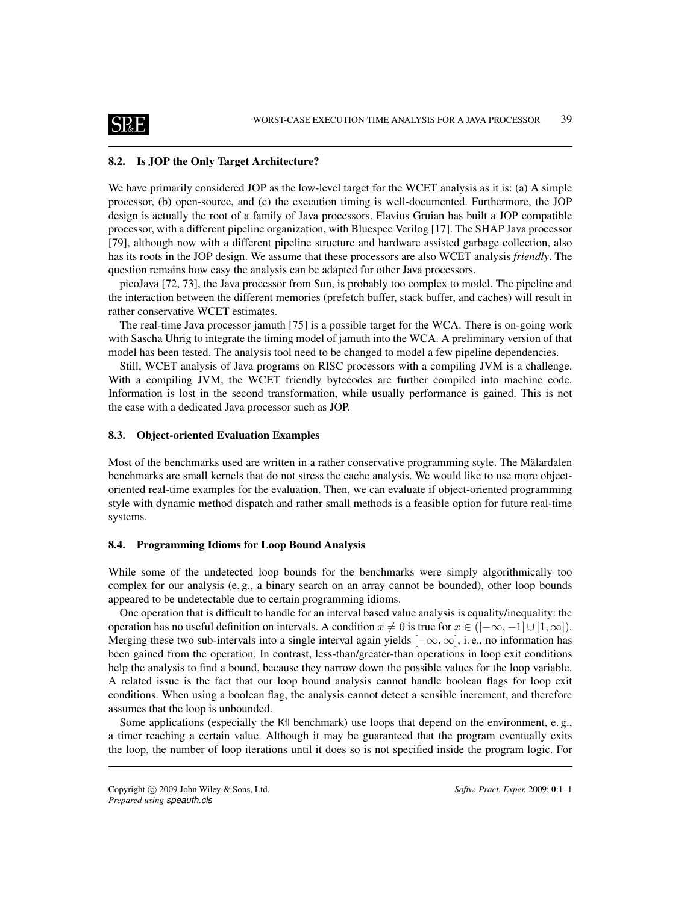## 8.2. Is JOP the Only Target Architecture?

We have primarily considered JOP as the low-level target for the WCET analysis as it is: (a) A simple processor, (b) open-source, and (c) the execution timing is well-documented. Furthermore, the JOP design is actually the root of a family of Java processors. Flavius Gruian has built a JOP compatible processor, with a different pipeline organization, with Bluespec Verilog [\[17\]](#page-42-23). The SHAP Java processor [\[79\]](#page-44-2), although now with a different pipeline structure and hardware assisted garbage collection, also has its roots in the JOP design. We assume that these processors are also WCET analysis *friendly*. The question remains how easy the analysis can be adapted for other Java processors.

picoJava [\[72,](#page-44-9) [73\]](#page-44-10), the Java processor from Sun, is probably too complex to model. The pipeline and the interaction between the different memories (prefetch buffer, stack buffer, and caches) will result in rather conservative WCET estimates.

The real-time Java processor jamuth [\[75\]](#page-44-1) is a possible target for the WCA. There is on-going work with Sascha Uhrig to integrate the timing model of jamuth into the WCA. A preliminary version of that model has been tested. The analysis tool need to be changed to model a few pipeline dependencies.

Still, WCET analysis of Java programs on RISC processors with a compiling JVM is a challenge. With a compiling JVM, the WCET friendly bytecodes are further compiled into machine code. Information is lost in the second transformation, while usually performance is gained. This is not the case with a dedicated Java processor such as JOP.

#### 8.3. Object-oriented Evaluation Examples

Most of the benchmarks used are written in a rather conservative programming style. The Mälardalen benchmarks are small kernels that do not stress the cache analysis. We would like to use more objectoriented real-time examples for the evaluation. Then, we can evaluate if object-oriented programming style with dynamic method dispatch and rather small methods is a feasible option for future real-time systems.

### 8.4. Programming Idioms for Loop Bound Analysis

While some of the undetected loop bounds for the benchmarks were simply algorithmically too complex for our analysis (e. g., a binary search on an array cannot be bounded), other loop bounds appeared to be undetectable due to certain programming idioms.

One operation that is difficult to handle for an interval based value analysis is equality/inequality: the operation has no useful definition on intervals. A condition  $x \neq 0$  is true for  $x \in ([-\infty, -1] \cup [1, \infty])$ . Merging these two sub-intervals into a single interval again yields  $[-\infty, \infty]$ , i.e., no information has been gained from the operation. In contrast, less-than/greater-than operations in loop exit conditions help the analysis to find a bound, because they narrow down the possible values for the loop variable. A related issue is the fact that our loop bound analysis cannot handle boolean flags for loop exit conditions. When using a boolean flag, the analysis cannot detect a sensible increment, and therefore assumes that the loop is unbounded.

Some applications (especially the Kfl benchmark) use loops that depend on the environment, e. g., a timer reaching a certain value. Although it may be guaranteed that the program eventually exits the loop, the number of loop iterations until it does so is not specified inside the program logic. For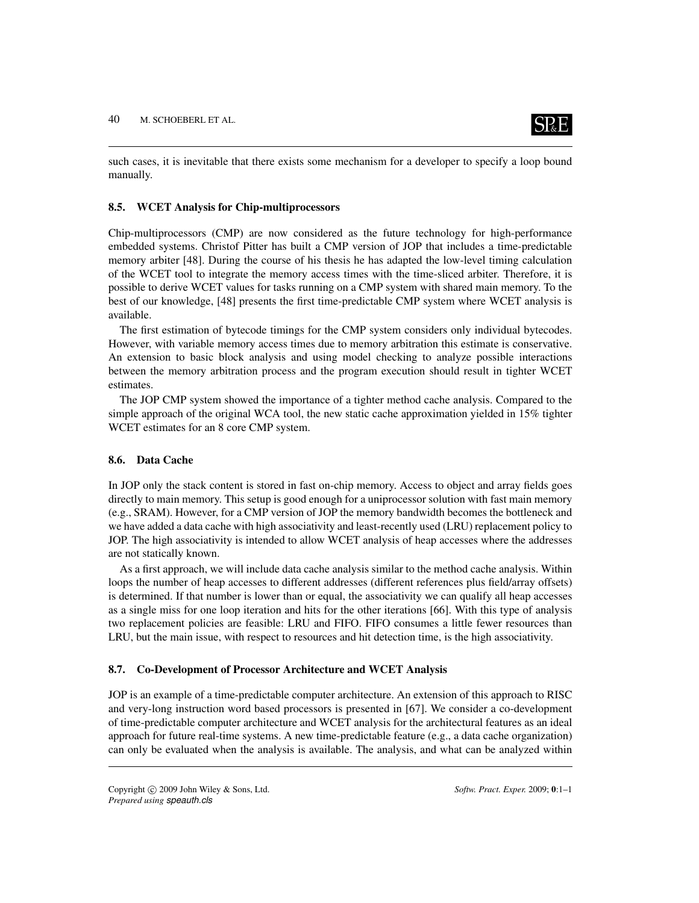

such cases, it is inevitable that there exists some mechanism for a developer to specify a loop bound manually.

## 8.5. WCET Analysis for Chip-multiprocessors

Chip-multiprocessors (CMP) are now considered as the future technology for high-performance embedded systems. Christof Pitter has built a CMP version of JOP that includes a time-predictable memory arbiter [\[48\]](#page-43-25). During the course of his thesis he has adapted the low-level timing calculation of the WCET tool to integrate the memory access times with the time-sliced arbiter. Therefore, it is possible to derive WCET values for tasks running on a CMP system with shared main memory. To the best of our knowledge, [\[48\]](#page-43-25) presents the first time-predictable CMP system where WCET analysis is available.

The first estimation of bytecode timings for the CMP system considers only individual bytecodes. However, with variable memory access times due to memory arbitration this estimate is conservative. An extension to basic block analysis and using model checking to analyze possible interactions between the memory arbitration process and the program execution should result in tighter WCET estimates.

The JOP CMP system showed the importance of a tighter method cache analysis. Compared to the simple approach of the original WCA tool, the new static cache approximation yielded in 15% tighter WCET estimates for an 8 core CMP system.

#### 8.6. Data Cache

In JOP only the stack content is stored in fast on-chip memory. Access to object and array fields goes directly to main memory. This setup is good enough for a uniprocessor solution with fast main memory (e.g., SRAM). However, for a CMP version of JOP the memory bandwidth becomes the bottleneck and we have added a data cache with high associativity and least-recently used (LRU) replacement policy to JOP. The high associativity is intended to allow WCET analysis of heap accesses where the addresses are not statically known.

As a first approach, we will include data cache analysis similar to the method cache analysis. Within loops the number of heap accesses to different addresses (different references plus field/array offsets) is determined. If that number is lower than or equal, the associativity we can qualify all heap accesses as a single miss for one loop iteration and hits for the other iterations [\[66\]](#page-43-26). With this type of analysis two replacement policies are feasible: LRU and FIFO. FIFO consumes a little fewer resources than LRU, but the main issue, with respect to resources and hit detection time, is the high associativity.

## 8.7. Co-Development of Processor Architecture and WCET Analysis

JOP is an example of a time-predictable computer architecture. An extension of this approach to RISC and very-long instruction word based processors is presented in [\[67\]](#page-43-27). We consider a co-development of time-predictable computer architecture and WCET analysis for the architectural features as an ideal approach for future real-time systems. A new time-predictable feature (e.g., a data cache organization) can only be evaluated when the analysis is available. The analysis, and what can be analyzed within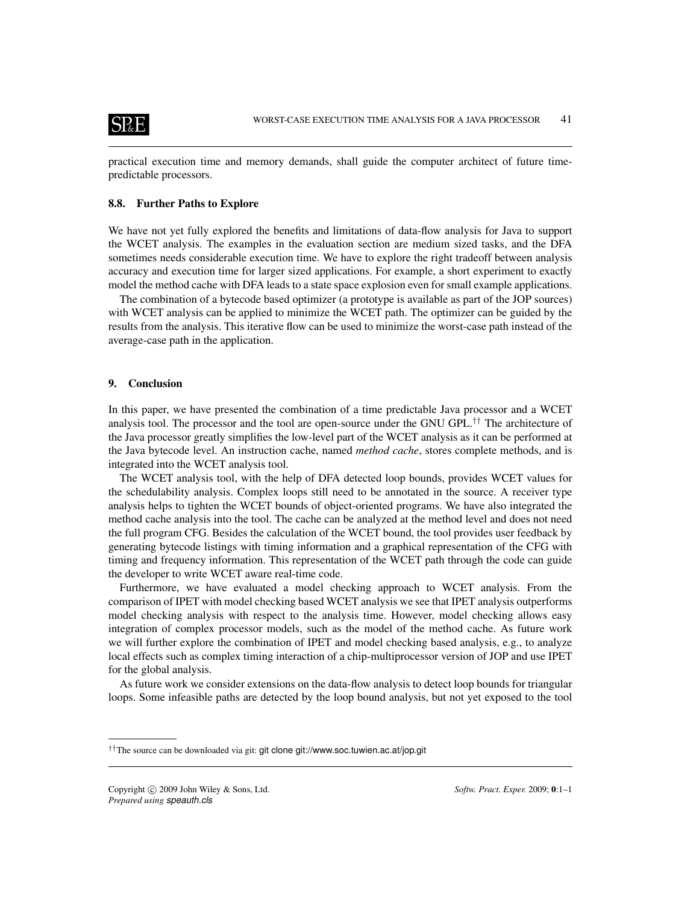

practical execution time and memory demands, shall guide the computer architect of future timepredictable processors.

## 8.8. Further Paths to Explore

We have not yet fully explored the benefits and limitations of data-flow analysis for Java to support the WCET analysis. The examples in the evaluation section are medium sized tasks, and the DFA sometimes needs considerable execution time. We have to explore the right tradeoff between analysis accuracy and execution time for larger sized applications. For example, a short experiment to exactly model the method cache with DFA leads to a state space explosion even for small example applications.

The combination of a bytecode based optimizer (a prototype is available as part of the JOP sources) with WCET analysis can be applied to minimize the WCET path. The optimizer can be guided by the results from the analysis. This iterative flow can be used to minimize the worst-case path instead of the average-case path in the application.

## <span id="page-40-0"></span>9. Conclusion

In this paper, we have presented the combination of a time predictable Java processor and a WCET analysis tool. The processor and the tool are open-source under the GNU GPL.<sup>[††](#page-40-1)</sup> The architecture of the Java processor greatly simplifies the low-level part of the WCET analysis as it can be performed at the Java bytecode level. An instruction cache, named *method cache*, stores complete methods, and is integrated into the WCET analysis tool.

The WCET analysis tool, with the help of DFA detected loop bounds, provides WCET values for the schedulability analysis. Complex loops still need to be annotated in the source. A receiver type analysis helps to tighten the WCET bounds of object-oriented programs. We have also integrated the method cache analysis into the tool. The cache can be analyzed at the method level and does not need the full program CFG. Besides the calculation of the WCET bound, the tool provides user feedback by generating bytecode listings with timing information and a graphical representation of the CFG with timing and frequency information. This representation of the WCET path through the code can guide the developer to write WCET aware real-time code.

Furthermore, we have evaluated a model checking approach to WCET analysis. From the comparison of IPET with model checking based WCET analysis we see that IPET analysis outperforms model checking analysis with respect to the analysis time. However, model checking allows easy integration of complex processor models, such as the model of the method cache. As future work we will further explore the combination of IPET and model checking based analysis, e.g., to analyze local effects such as complex timing interaction of a chip-multiprocessor version of JOP and use IPET for the global analysis.

As future work we consider extensions on the data-flow analysis to detect loop bounds for triangular loops. Some infeasible paths are detected by the loop bound analysis, but not yet exposed to the tool

<span id="page-40-1"></span><sup>††</sup>The source can be downloaded via git: git clone git://www.soc.tuwien.ac.at/jop.git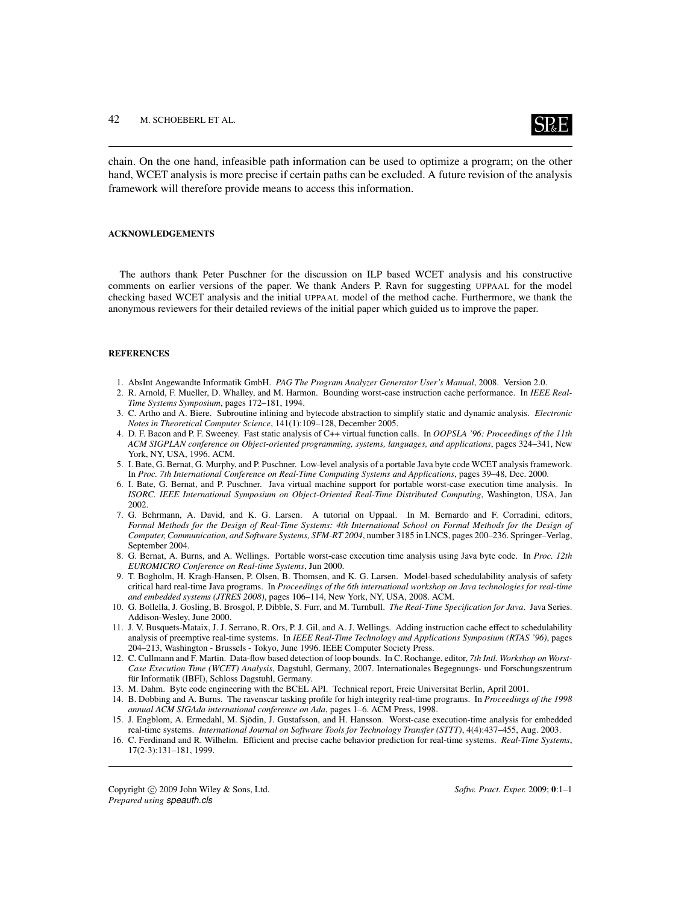

chain. On the one hand, infeasible path information can be used to optimize a program; on the other hand, WCET analysis is more precise if certain paths can be excluded. A future revision of the analysis framework will therefore provide means to access this information.

#### ACKNOWLEDGEMENTS

The authors thank Peter Puschner for the discussion on ILP based WCET analysis and his constructive comments on earlier versions of the paper. We thank Anders P. Ravn for suggesting UPPAAL for the model checking based WCET analysis and the initial UPPAAL model of the method cache. Furthermore, we thank the anonymous reviewers for their detailed reviews of the initial paper which guided us to improve the paper.

#### **REFERENCES**

- <span id="page-41-15"></span>1. AbsInt Angewandte Informatik GmbH. *PAG The Program Analyzer Generator User's Manual*, 2008. Version 2.0.
- <span id="page-41-3"></span>2. R. Arnold, F. Mueller, D. Whalley, and M. Harmon. Bounding worst-case instruction cache performance. In *IEEE Real-Time Systems Symposium*, pages 172–181, 1994.
- <span id="page-41-12"></span>3. C. Artho and A. Biere. Subroutine inlining and bytecode abstraction to simplify static and dynamic analysis. *Electronic Notes in Theoretical Computer Science*, 141(1):109–128, December 2005.
- <span id="page-41-6"></span>4. D. F. Bacon and P. F. Sweeney. Fast static analysis of C++ virtual function calls. In *OOPSLA '96: Proceedings of the 11th ACM SIGPLAN conference on Object-oriented programming, systems, languages, and applications*, pages 324–341, New York, NY, USA, 1996. ACM.
- <span id="page-41-9"></span>5. I. Bate, G. Bernat, G. Murphy, and P. Puschner. Low-level analysis of a portable Java byte code WCET analysis framework. In *Proc. 7th International Conference on Real-Time Computing Systems and Applications*, pages 39–48, Dec. 2000.
- <span id="page-41-10"></span>6. I. Bate, G. Bernat, and P. Puschner. Java virtual machine support for portable worst-case execution time analysis. In *ISORC. IEEE International Symposium on Object-Oriented Real-Time Distributed Computing*, Washington, USA, Jan 2002.
- <span id="page-41-13"></span>7. G. Behrmann, A. David, and K. G. Larsen. A tutorial on Uppaal. In M. Bernardo and F. Corradini, editors, *Formal Methods for the Design of Real-Time Systems: 4th International School on Formal Methods for the Design of Computer, Communication, and Software Systems, SFM-RT 2004*, number 3185 in LNCS, pages 200–236. Springer–Verlag, September 2004.
- <span id="page-41-8"></span>8. G. Bernat, A. Burns, and A. Wellings. Portable worst-case execution time analysis using Java byte code. In *Proc. 12th EUROMICRO Conference on Real-time Systems*, Jun 2000.
- <span id="page-41-11"></span>9. T. Bogholm, H. Kragh-Hansen, P. Olsen, B. Thomsen, and K. G. Larsen. Model-based schedulability analysis of safety critical hard real-time Java programs. In *Proceedings of the 6th international workshop on Java technologies for real-time and embedded systems (JTRES 2008)*, pages 106–114, New York, NY, USA, 2008. ACM.
- <span id="page-41-0"></span>10. G. Bollella, J. Gosling, B. Brosgol, P. Dibble, S. Furr, and M. Turnbull. *The Real-Time Specification for Java*. Java Series. Addison-Wesley, June 2000.
- <span id="page-41-5"></span>11. J. V. Busquets-Mataix, J. J. Serrano, R. Ors, P. J. Gil, and A. J. Wellings. Adding instruction cache effect to schedulability analysis of preemptive real-time systems. In *IEEE Real-Time Technology and Applications Symposium (RTAS '96)*, pages 204–213, Washington - Brussels - Tokyo, June 1996. IEEE Computer Society Press.
- <span id="page-41-7"></span>12. C. Cullmann and F. Martin. Data-flow based detection of loop bounds. In C. Rochange, editor, *7th Intl. Workshop on Worst-Case Execution Time (WCET) Analysis*, Dagstuhl, Germany, 2007. Internationales Begegnungs- und Forschungszentrum für Informatik (IBFI), Schloss Dagstuhl, Germany.
- <span id="page-41-14"></span>13. M. Dahm. Byte code engineering with the BCEL API. Technical report, Freie Universitat Berlin, April 2001.
- <span id="page-41-1"></span>14. B. Dobbing and A. Burns. The ravenscar tasking profile for high integrity real-time programs. In *Proceedings of the 1998 annual ACM SIGAda international conference on Ada*, pages 1–6. ACM Press, 1998.
- <span id="page-41-2"></span>15. J. Engblom, A. Ermedahl, M. Sjodin, J. Gustafsson, and H. Hansson. Worst-case execution-time analysis for embedded ¨ real-time systems. *International Journal on Software Tools for Technology Transfer (STTT)*, 4(4):437–455, Aug. 2003.
- <span id="page-41-4"></span>16. C. Ferdinand and R. Wilhelm. Efficient and precise cache behavior prediction for real-time systems. *Real-Time Systems*, 17(2-3):131–181, 1999.

Copyright © 2009 John Wiley & Sons, Ltd. *Softw. Pract. Exper.* 2009; 0:1-1 *Prepared using speauth.cls*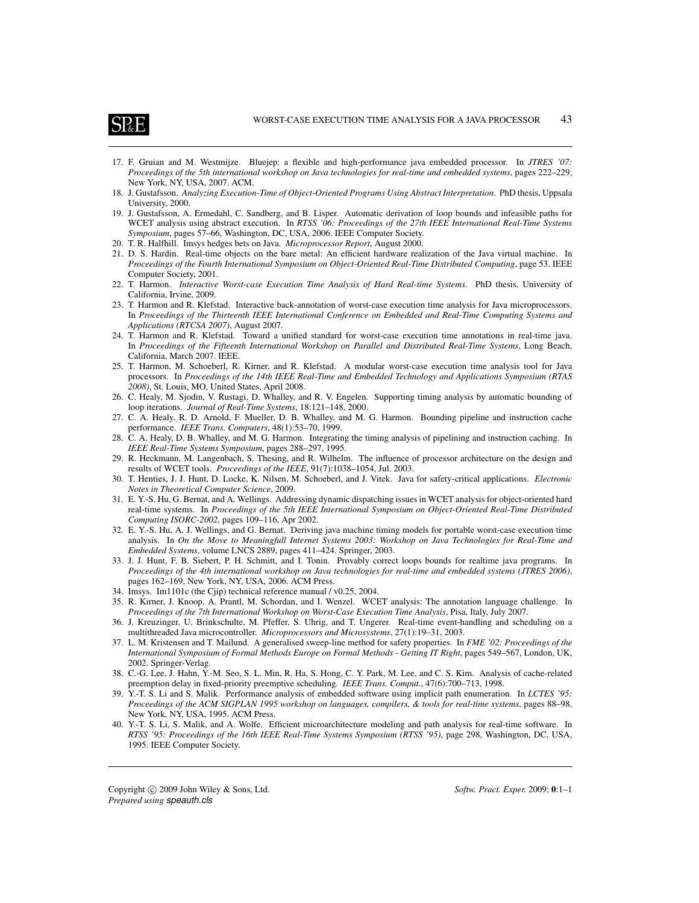

- <span id="page-42-23"></span>17. F. Gruian and M. Westmijze. Bluejep: a flexible and high-performance java embedded processor. In *JTRES '07: Proceedings of the 5th international workshop on Java technologies for real-time and embedded systems*, pages 222–229, New York, NY, USA, 2007. ACM.
- <span id="page-42-8"></span>18. J. Gustafsson. *Analyzing Execution-Time of Object-Oriented Programs Using Abstract Interpretation*. PhD thesis, Uppsala University, 2000.
- <span id="page-42-13"></span>19. J. Gustafsson, A. Ermedahl, C. Sandberg, and B. Lisper. Automatic derivation of loop bounds and infeasible paths for WCET analysis using abstract execution. In *RTSS '06: Proceedings of the 27th IEEE International Real-Time Systems Symposium*, pages 57–66, Washington, DC, USA, 2006. IEEE Computer Society.
- <span id="page-42-3"></span>20. T. R. Halfhill. Imsys hedges bets on Java. *Microprocessor Report*, August 2000.
- <span id="page-42-2"></span>21. D. S. Hardin. Real-time objects on the bare metal: An efficient hardware realization of the Java virtual machine. In *Proceedings of the Fourth International Symposium on Object-Oriented Real-Time Distributed Computing*, page 53. IEEE Computer Society, 2001.
- <span id="page-42-19"></span>22. T. Harmon. *Interactive Worst-case Execution Time Analysis of Hard Real-time Systems*. PhD thesis, University of California, Irvine, 2009.
- <span id="page-42-18"></span>23. T. Harmon and R. Klefstad. Interactive back-annotation of worst-case execution time analysis for Java microprocessors. In *Proceedings of the Thirteenth IEEE International Conference on Embedded and Real-Time Computing Systems and Applications (RTCSA 2007)*, August 2007.
- <span id="page-42-16"></span>24. T. Harmon and R. Klefstad. Toward a unified standard for worst-case execution time annotations in real-time java. In *Proceedings of the Fifteenth International Workshop on Parallel and Distributed Real-Time Systems*, Long Beach, California, March 2007. IEEE.
- <span id="page-42-1"></span>25. T. Harmon, M. Schoeberl, R. Kirner, and R. Klefstad. A modular worst-case execution time analysis tool for Java processors. In *Proceedings of the 14th IEEE Real-Time and Embedded Technology and Applications Symposium (RTAS 2008)*, St. Louis, MO, United States, April 2008.
- <span id="page-42-14"></span>26. C. Healy, M. Sjodin, V. Rustagi, D. Whalley, and R. V. Engelen. Supporting timing analysis by automatic bounding of loop iterations. *Journal of Real-Time Systems*, 18:121–148, 2000.
- <span id="page-42-11"></span>27. C. A. Healy, R. D. Arnold, F. Mueller, D. B. Whalley, and M. G. Harmon. Bounding pipeline and instruction cache performance. *IEEE Trans. Computers*, 48(1):53–70, 1999.
- <span id="page-42-9"></span>28. C. A. Healy, D. B. Whalley, and M. G. Harmon. Integrating the timing analysis of pipelining and instruction caching. In *IEEE Real-Time Systems Symposium*, pages 288–297, 1995.
- <span id="page-42-12"></span>29. R. Heckmann, M. Langenbach, S. Thesing, and R. Wilhelm. The influence of processor architecture on the design and results of WCET tools. *Proceedings of the IEEE*, 91(7):1038–1054, Jul. 2003.
- <span id="page-42-0"></span>30. T. Henties, J. J. Hunt, D. Locke, K. Nilsen, M. Schoeberl, and J. Vitek. Java for safety-critical applications. *Electronic Notes in Theoretical Computer Science*, 2009.
- <span id="page-42-15"></span>31. E. Y.-S. Hu, G. Bernat, and A. Wellings. Addressing dynamic dispatching issues in WCET analysis for object-oriented hard real-time systems. In *Proceedings of the 5th IEEE International Symposium on Object-Oriented Real-Time Distributed Computing ISORC-2002*, pages 109–116, Apr 2002.
- <span id="page-42-17"></span>32. E. Y.-S. Hu, A. J. Wellings, and G. Bernat. Deriving java machine timing models for portable worst-case execution time analysis. In *On the Move to Meaningfull Internet Systems 2003: Workshop on Java Technologies for Real-Time and Embedded Systems*, volume LNCS 2889, pages 411–424. Springer, 2003.
- <span id="page-42-22"></span>33. J. J. Hunt, F. B. Siebert, P. H. Schmitt, and I. Tonin. Provably correct loops bounds for realtime java programs. In *Proceedings of the 4th international workshop on Java technologies for real-time and embedded systems (JTRES 2006)*, pages 162–169, New York, NY, USA, 2006. ACM Press.
- <span id="page-42-4"></span>34. Imsys. Im1101c (the Cjip) technical reference manual / v0.25, 2004.
- <span id="page-42-21"></span>35. R. Kirner, J. Knoop, A. Prantl, M. Schordan, and I. Wenzel. WCET analysis: The annotation language challenge. In *Proceedings of the 7th International Workshop on Worst-Case Execution Time Analysis*, Pisa, Italy, July 2007.
- <span id="page-42-5"></span>36. J. Kreuzinger, U. Brinkschulte, M. Pfeffer, S. Uhrig, and T. Ungerer. Real-time event-handling and scheduling on a multithreaded Java microcontroller. *Microprocessors and Microsystems*, 27(1):19–31, 2003.
- <span id="page-42-20"></span>37. L. M. Kristensen and T. Mailund. A generalised sweep-line method for safety properties. In *FME '02: Proceedings of the International Symposium of Formal Methods Europe on Formal Methods - Getting IT Right*, pages 549–567, London, UK, 2002. Springer-Verlag.
- <span id="page-42-10"></span>38. C.-G. Lee, J. Hahn, Y.-M. Seo, S. L. Min, R. Ha, S. Hong, C. Y. Park, M. Lee, and C. S. Kim. Analysis of cache-related preemption delay in fixed-priority preemptive scheduling. *IEEE Trans. Comput.*, 47(6):700–713, 1998.
- <span id="page-42-6"></span>39. Y.-T. S. Li and S. Malik. Performance analysis of embedded software using implicit path enumeration. In *LCTES '95: Proceedings of the ACM SIGPLAN 1995 workshop on languages, compilers, & tools for real-time systems*, pages 88–98, New York, NY, USA, 1995. ACM Press.
- <span id="page-42-7"></span>40. Y.-T. S. Li, S. Malik, and A. Wolfe. Efficient microarchitecture modeling and path analysis for real-time software. In *RTSS '95: Proceedings of the 16th IEEE Real-Time Systems Symposium (RTSS '95)*, page 298, Washington, DC, USA, 1995. IEEE Computer Society.

Copyright © 2009 John Wiley & Sons, Ltd. *Softw. Pract. Exper.* 2009; 0:1-1 *Prepared using speauth.cls*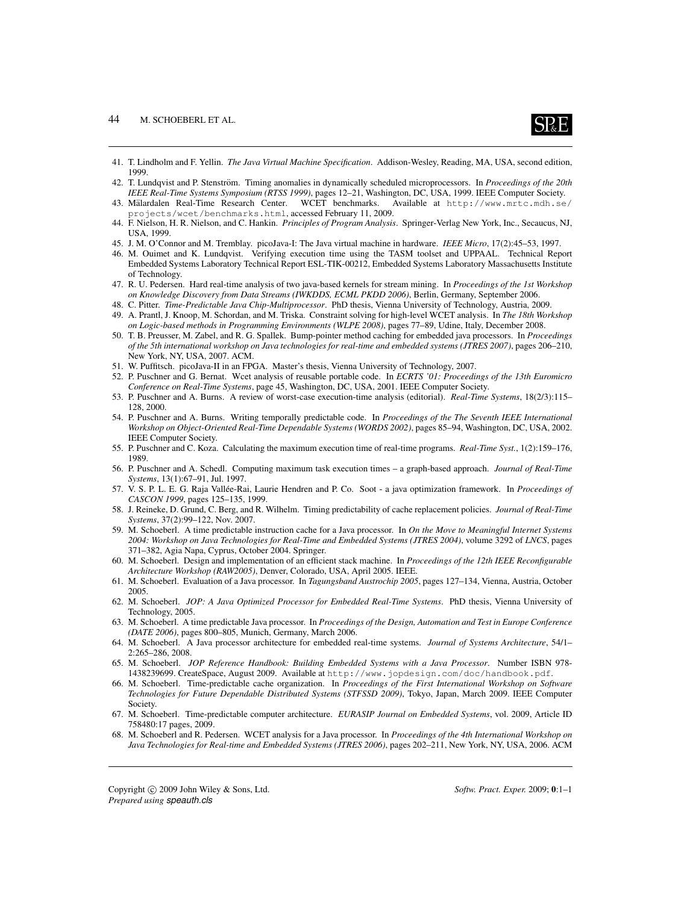

- <span id="page-43-18"></span>41. T. Lindholm and F. Yellin. *The Java Virtual Machine Specification*. Addison-Wesley, Reading, MA, USA, second edition, 1999.
- <span id="page-43-15"></span>42. T. Lundqvist and P. Stenström. Timing anomalies in dynamically scheduled microprocessors. In Proceedings of the 20th *IEEE Real-Time Systems Symposium (RTSS 1999)*, pages 12–21, Washington, DC, USA, 1999. IEEE Computer Society. 43. Mälardalen Real-Time Research Center. WCET benchmarks. Available at [http://www.mrtc.mdh.se/](http://www.mrtc.mdh.se/projects/wcet/benchmarks.html)
- <span id="page-43-4"></span>[projects/wcet/benchmarks.html](http://www.mrtc.mdh.se/projects/wcet/benchmarks.html), accessed February 11, 2009. 44. F. Nielson, H. R. Nielson, and C. Hankin. *Principles of Program Analysis*. Springer-Verlag New York, Inc., Secaucus, NJ,
- <span id="page-43-22"></span>USA, 1999.
- <span id="page-43-5"></span>45. J. M. O'Connor and M. Tremblay. picoJava-I: The Java virtual machine in hardware. *IEEE Micro*, 17(2):45–53, 1997.
- <span id="page-43-19"></span>46. M. Ouimet and K. Lundqvist. Verifying execution time using the TASM toolset and UPPAAL. Technical Report Embedded Systems Laboratory Technical Report ESL-TIK-00212, Embedded Systems Laboratory Massachusetts Institute of Technology.
- <span id="page-43-23"></span>47. R. U. Pedersen. Hard real-time analysis of two java-based kernels for stream mining. In *Proceedings of the 1st Workshop on Knowledge Discovery from Data Streams (IWKDDS, ECML PKDD 2006)*, Berlin, Germany, September 2006.
- <span id="page-43-25"></span>48. C. Pitter. *Time-Predictable Java Chip-Multiprocessor*. PhD thesis, Vienna University of Technology, Austria, 2009.
- <span id="page-43-11"></span>49. A. Prantl, J. Knoop, M. Schordan, and M. Triska. Constraint solving for high-level WCET analysis. In *The 18th Workshop on Logic-based methods in Programming Environments (WLPE 2008)*, pages 77–89, Udine, Italy, December 2008.
- <span id="page-43-7"></span>50. T. B. Preusser, M. Zabel, and R. G. Spallek. Bump-pointer method caching for embedded java processors. In *Proceedings of the 5th international workshop on Java technologies for real-time and embedded systems (JTRES 2007)*, pages 206–210, New York, NY, USA, 2007. ACM.
- <span id="page-43-6"></span>51. W. Puffitsch. picoJava-II in an FPGA. Master's thesis, Vienna University of Technology, 2007.
- <span id="page-43-12"></span>52. P. Puschner and G. Bernat. Wcet analysis of reusable portable code. In *ECRTS '01: Proceedings of the 13th Euromicro Conference on Real-Time Systems*, page 45, Washington, DC, USA, 2001. IEEE Computer Society.
- <span id="page-43-10"></span>53. P. Puschner and A. Burns. A review of worst-case execution-time analysis (editorial). *Real-Time Systems*, 18(2/3):115– 128, 2000.
- <span id="page-43-24"></span>54. P. Puschner and A. Burns. Writing temporally predictable code. In *Proceedings of the The Seventh IEEE International Workshop on Object-Oriented Real-Time Dependable Systems (WORDS 2002)*, pages 85–94, Washington, DC, USA, 2002. IEEE Computer Society.
- <span id="page-43-17"></span>55. P. Puschner and C. Koza. Calculating the maximum execution time of real-time programs. *Real-Time Syst.*, 1(2):159–176, 1989.
- <span id="page-43-9"></span>56. P. Puschner and A. Schedl. Computing maximum task execution times – a graph-based approach. *Journal of Real-Time Systems*, 13(1):67–91, Jul. 1997.
- <span id="page-43-21"></span>57. V. S. P. L. E. G. Raja Vallee-Rai, Laurie Hendren and P. Co. Soot - a java optimization framework. In ´ *Proceedings of CASCON 1999*, pages 125–135, 1999.
- <span id="page-43-16"></span>58. J. Reineke, D. Grund, C. Berg, and R. Wilhelm. Timing predictability of cache replacement policies. *Journal of Real-Time Systems*, 37(2):99–122, Nov. 2007.
- <span id="page-43-2"></span>59. M. Schoeberl. A time predictable instruction cache for a Java processor. In *On the Move to Meaningful Internet Systems 2004: Workshop on Java Technologies for Real-Time and Embedded Systems (JTRES 2004)*, volume 3292 of *LNCS*, pages 371–382, Agia Napa, Cyprus, October 2004. Springer.
- <span id="page-43-13"></span>60. M. Schoeberl. Design and implementation of an efficient stack machine. In *Proceedings of the 12th IEEE Reconfigurable Architecture Workshop (RAW2005)*, Denver, Colorado, USA, April 2005. IEEE.
- <span id="page-43-8"></span>61. M. Schoeberl. Evaluation of a Java processor. In *Tagungsband Austrochip 2005*, pages 127–134, Vienna, Austria, October 2005.
- <span id="page-43-0"></span>62. M. Schoeberl. *JOP: A Java Optimized Processor for Embedded Real-Time Systems*. PhD thesis, Vienna University of Technology, 2005.
- <span id="page-43-14"></span>63. M. Schoeberl. A time predictable Java processor. In *Proceedings of the Design, Automation and Test in Europe Conference (DATE 2006)*, pages 800–805, Munich, Germany, March 2006.
- <span id="page-43-1"></span>64. M. Schoeberl. A Java processor architecture for embedded real-time systems. *Journal of Systems Architecture*, 54/1– 2:265–286, 2008.
- <span id="page-43-20"></span>65. M. Schoeberl. *JOP Reference Handbook: Building Embedded Systems with a Java Processor*. Number ISBN 978- 1438239699. CreateSpace, August 2009. Available at <http://www.jopdesign.com/doc/handbook.pdf>.
- <span id="page-43-26"></span>66. M. Schoeberl. Time-predictable cache organization. In *Proceedings of the First International Workshop on Software Technologies for Future Dependable Distributed Systems (STFSSD 2009)*, Tokyo, Japan, March 2009. IEEE Computer Society.
- <span id="page-43-27"></span>67. M. Schoeberl. Time-predictable computer architecture. *EURASIP Journal on Embedded Systems*, vol. 2009, Article ID 758480:17 pages, 2009.
- <span id="page-43-3"></span>68. M. Schoeberl and R. Pedersen. WCET analysis for a Java processor. In *Proceedings of the 4th International Workshop on Java Technologies for Real-time and Embedded Systems (JTRES 2006)*, pages 202–211, New York, NY, USA, 2006. ACM